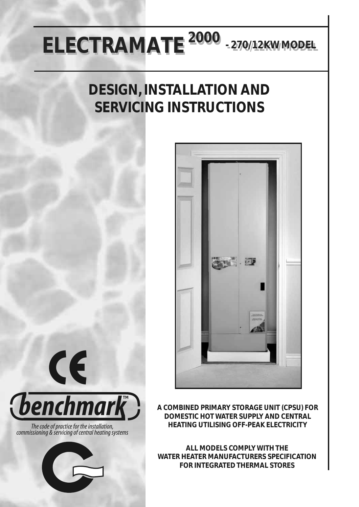### **ELECTRAMATE <sup>2000</sup> - 270/12KW MODEL ELECTRAMATE <sup>2000</sup> - 270/12KW MODEL**

# **DESIGN, INSTALLATION AND SERVICING INSTRUCTIONS**





*The code of practice for the installation, commissioning & servicing of central heating systems*



**A COMBINED PRIMARY STORAGE UNIT (CPSU) FOR DOMESTIC HOT WATER SUPPLY AND CENTRAL HEATING UTILISING OFF-PEAK ELECTRICITY**

**ALL MODELS COMPLY WITH THE WATER HEATER MANUFACTURERS SPECIFICATION FOR INTEGRATED THERMAL STORES**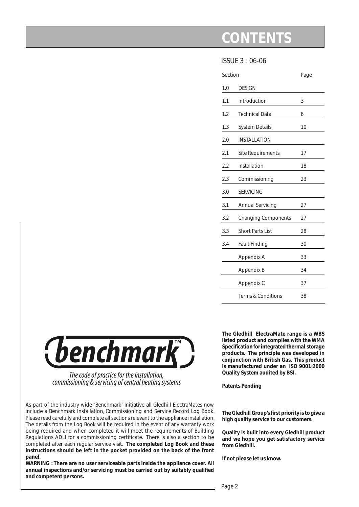# **CONTENTS**

### ISSUE 3 : 06-06

| Section |                               | Page |
|---------|-------------------------------|------|
| 1.0     | <b>DESIGN</b>                 |      |
| 1.1     | Introduction                  | 3    |
| 1.2     | <b>Technical Data</b>         | 6    |
| 1.3     | <b>System Details</b>         | 10   |
| 2.0     | INSTALLATION                  |      |
| 2.1     | Site Requirements             | 17   |
| 2.2     | Installation                  | 18   |
| 2.3     | Commissioning                 | 23   |
| 3.0     | <b>SERVICING</b>              |      |
| 3.1     | <b>Annual Servicing</b>       | 27   |
| 3.2     | <b>Changing Components</b>    | 27   |
| 3.3     | <b>Short Parts List</b>       | 28   |
| 3.4     | <b>Fault Finding</b>          | 30   |
|         | Appendix A                    | 33   |
|         | Appendix B                    | 34   |
|         | Appendix C                    | 37   |
|         | <b>Terms &amp; Conditions</b> | 38   |
|         |                               |      |



*The code of practice for the installation, commissioning & servicing of central heating systems*

As part of the industry wide "Benchmark" Initiative all Gledhill ElectraMates now include a Benchmark Installation, Commissioning and Service Record Log Book. Please read carefully and complete all sections relevant to the appliance installation. The details from the Log Book will be required in the event of any warranty work being required and when completed it will meet the requirements of Building Regulations ADLI for a commissioning certificate. There is also a section to be completed after each regular service visit. **The completed Log Book and these instructions should be left in the pocket provided on the back of the front panel.**

**WARNING : There are no user serviceable parts inside the appliance cover. All**  annual inspections and/or servicing must be carried out by suitably qualified **and competent persons.**

**The Gledhill ElectraMate range is a WBS listed product and complies with the WMA Specification for integrated thermal storage products. The principle was developed in conjunction with British Gas. This product is manufactured under an ISO 9001:2000 Quality System audited by BSI.**

**Patents Pending**

The Gledhill Group's first priority is to give a **high quality service to our customers.**

**Quality is built into every Gledhill product and we hope you get satisfactory service from Gledhill.** 

**If not please let us know.**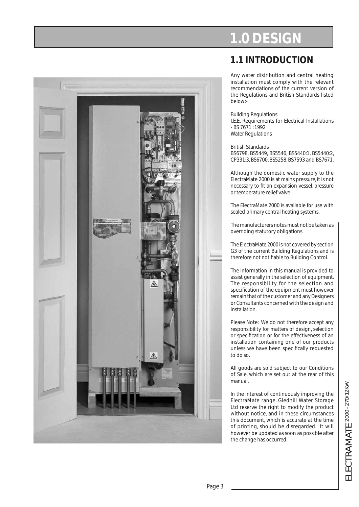

# **1.1 INTRODUCTION**

Any water distribution and central heating installation must comply with the relevant recommendations of the current version of the Regulations and British Standards listed below:-

### Building Regulations

I.E.E. Requirements for Electrical Installations - BS 7671 : 1992 Water Regulations

British Standards

BS6798, BS5449, BS5546, BS5440:1, BS5440:2, CP331:3, BS6700, BS5258, BS7593 and BS7671.

Although the domestic water supply to the ElectraMate 2000 is at mains pressure, it is not necessary to fit an expansion vessel, pressure or temperature relief valve.

The ElectraMate 2000 is available for use with sealed primary central heating systems.

The manufacturers notes must not be taken as overriding statutory obligations.

The ElectraMate 2000 is not covered by section G3 of the current Building Regulations and is therefore not notifiable to Building Control.

The information in this manual is provided to assist generally in the selection of equipment. The responsibility for the selection and specification of the equipment must however remain that of the customer and any Designers or Consultants concerned with the design and installation.

Please Note: We do not therefore accept any responsibility for matters of design, selection or specification or for the effectiveness of an installation containing one of our products unless we have been specifically requested to do so.

All goods are sold subject to our Conditions of Sale, which are set out at the rear of this manual.

In the interest of continuously improving the ElectraMate range, Gledhill Water Storage Ltd reserve the right to modify the product without notice, and in these circumstances this document, which is accurate at the time of printing, should be disregarded. It will however be updated as soon as possible after the change has occurred.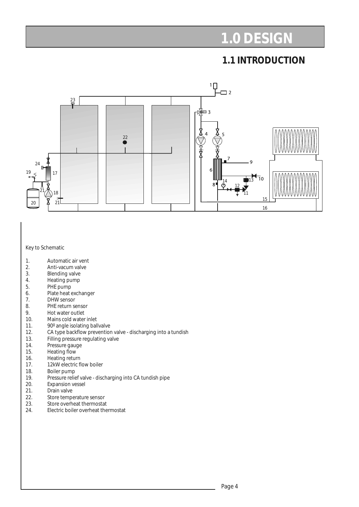### **1.1 INTRODUCTION**



Key to Schematic

- 1. Automatic air vent<br>2. Anti-vacum valve
- 2. Anti-vacum valve<br>3. Blending valve
- 
- 3. Blending valve<br>4. Heating pump 4. Heating pump<br>5. PHE pump
- 
- 5. PHE pump<br>6. Plate heat 6. Plate heat exchanger<br>
7. DHW sensor
- 7. DHW sensor<br>8. PHE return se
- 8. PHE return sensor<br>9. Hot water outlet
- 9. Hot water outlet<br>10. Mains cold water
- Mains cold water inlet
- 
- 11. 90° angle isolating ballvalve<br>12. CA type backflow prevention 12. CA type backflow prevention valve - discharging into a tundish<br>13. Filling pressure regulating valve
- 13. Filling pressure regulating valve<br>14. Pressure gauge
- 14. Pressure gauge<br>15. Heating flow
- 15. Heating flow<br>16. Heating retur
- 16. Heating return<br>17. 12kW electric fl
- 12kW electric flow boiler
- 18. Boiler pump<br>19. Pressure relie
- Pressure relief valve discharging into CA tundish pipe
- 20. Expansion vessel<br>21. Drain valve
- Drain valve
- 22. Store temperature sensor
- 23. Store overheat thermostat
- 24. Electric boiler overheat thermostat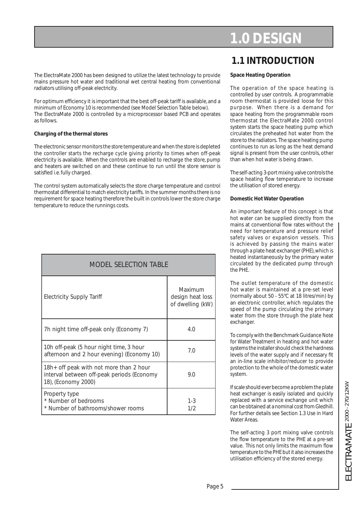# **1.0 DESIGI**

The ElectraMate 2000 has been designed to utilize the latest technology to provide mains pressure hot water and traditional wet central heating from conventional radiators utilising off-peak electricity.

For optimum efficiency it is important that the best off-peak tariff is available, and a minimum of Economy 10 is recommended (see Model Selection Table below). The ElectraMate 2000 is controlled by a microprocessor based PCB and operates as follows.

#### **Charging of the thermal stores**

The electronic sensor monitors the store temperature and when the store is depleted the controller starts the recharge cycle giving priority to times when off-peak electricity is available. When the controls are enabled to recharge the store, pump and heaters are switched on and these continue to run until the store sensor is satisfied i.e. fully charged.

The control system automatically selects the store charge temperature and control thermostat differential to match electricity tariffs. In the summer months there is no requirement for space heating therefore the built in controls lower the store charge temperature to reduce the runnings costs.

| <b>MODEL SELECTION TABLE</b>                                                                                 |                                                 |  |  |
|--------------------------------------------------------------------------------------------------------------|-------------------------------------------------|--|--|
| <b>Electricity Supply Tariff</b>                                                                             | Maximum<br>design heat loss<br>of dwelling (kW) |  |  |
| 7h night time off-peak only (Economy 7)                                                                      | 4.0                                             |  |  |
| 10h off-peak (5 hour night time, 3 hour<br>afternoon and 2 hour evening) (Economy 10)                        | 7.0                                             |  |  |
| 18h+ off peak with not more than 2 hour<br>interval between off-peak periods (Economy<br>18), (Economy 2000) | 9.0                                             |  |  |
| Property type<br>* Number of bedrooms<br>* Number of bathrooms/shower rooms                                  | $1 - 3$<br>1/2                                  |  |  |

### **1.1 INTRODUCTION**

### **Space Heating Operation**

The operation of the space heating is controlled by user controls. A programmable room thermostat is provided loose for this purpose. When there is a demand for space heating from the programmable room thermostat the ElectraMate 2000 control system starts the space heating pump which circulates the preheated hot water from the store to the radiators. The space heating pump continues to run as long as the heat demand signal is present from the user controls, other than when hot water is being drawn.

The self-acting 3-port mixing valve controls the space heating flow temperature to increase the utilisation of stored energy.

### **Domestic Hot Water Operation**

An important feature of this concept is that hot water can be supplied directly from the mains at conventional flow rates without the need for temperature and pressure relief safety valves or expansion vessels. This is achieved by passing the mains water through a plate heat exchanger (PHE), which is heated instantaneously by the primary water circulated by the dedicated pump through the PHE.

The outlet temperature of the domestic hot water is maintained at a pre-set level (normally about 50 - 55°C at 18 litres/min) by an electronic controller, which regulates the speed of the pump circulating the primary water from the store through the plate heat exchanger.

To comply with the Benchmark Guidance Note for Water Treatment in heating and hot water systems the installer should check the hardness levels of the water supply and if necessary fit an in-line scale inhibitor/reducer to provide protection to the whole of the domestic water system.

If scale should ever become a problem the plate heat exchanger is easily isolated and quickly replaced with a service exchange unit which can be obtained at a nominal cost from Gledhill. For further details see Section 1.3 Use in Hard Water Areas

The self-acting 3 port mixing valve controls the flow temperature to the PHE at a pre-set value. This not only limits the maximum flow temperature to the PHE but it also increases the utilisation efficiency of the stored energy.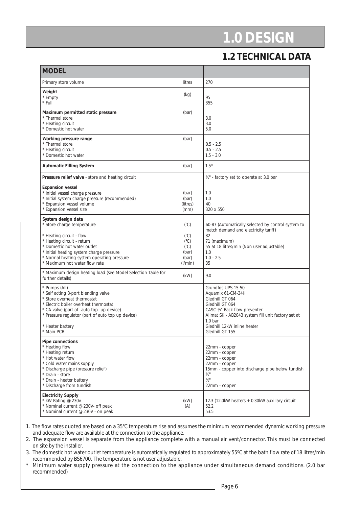### **1.2 TECHNICAL DATA**

| <b>MODEL</b>                                                                                                                                                                                                                                                         |                                                                                               |                                                                                                                                                                                                                                     |
|----------------------------------------------------------------------------------------------------------------------------------------------------------------------------------------------------------------------------------------------------------------------|-----------------------------------------------------------------------------------------------|-------------------------------------------------------------------------------------------------------------------------------------------------------------------------------------------------------------------------------------|
| Primary store volume                                                                                                                                                                                                                                                 | litres                                                                                        | 270                                                                                                                                                                                                                                 |
| Weight<br>* Empty<br>* Full                                                                                                                                                                                                                                          | (kg)                                                                                          | 95<br>355                                                                                                                                                                                                                           |
| Maximum permitted static pressure<br>* Thermal store<br>* Heating circuit<br>* Domestic hot water                                                                                                                                                                    | (bar)                                                                                         | 3.0<br>3.0<br>5.0                                                                                                                                                                                                                   |
| Working pressure range<br>* Thermal store<br>* Heating circuit<br>* Domestic hot water                                                                                                                                                                               | (bar)                                                                                         | $0.5 - 2.5$<br>$0.5 - 2.5$<br>$1.5 - 3.0$                                                                                                                                                                                           |
| <b>Automatic Filling System</b>                                                                                                                                                                                                                                      | (bar)                                                                                         | $1.5*$                                                                                                                                                                                                                              |
| Pressure relief valve - store and heating circuit                                                                                                                                                                                                                    |                                                                                               | 1/2" - factory set to operate at 3.0 bar                                                                                                                                                                                            |
| <b>Expansion vessel</b><br>* Initial vessel charge pressure<br>* Initial system charge pressure (recommended)<br>* Expansion vessel volume<br>* Expansion vessel size                                                                                                | (bar)<br>(bar)<br>(litres)<br>(mm)                                                            | 1.0<br>1.0<br>40<br>320 x 550                                                                                                                                                                                                       |
| System design data<br>* Store charge temperature<br>* Heating circuit - flow<br>* Heating circuit - return<br>* Domestic hot water outlet<br>* Initial heating system charge pressure<br>* Normal heating system operating pressure<br>* Maximum hot water flow rate | $(^{\circ}C)$<br>$(^{\circ}C)$<br>$(^{\circ}C)$<br>$(^{\circ}C)$<br>(bar)<br>(bar)<br>(1/min) | 60-87 (Automatically selected by control system to<br>match demand and electricity tariff)<br>82<br>71 (maximum)<br>55 at 18 litres/min (Non user adjustable)<br>1.0<br>$1.0 - 2.5$<br>35                                           |
| * Maximum design heating load (see Model Selection Table for<br>further details)                                                                                                                                                                                     | (kW)                                                                                          | 9.0                                                                                                                                                                                                                                 |
| * Pumps (All)<br>* Self acting 3-port blending valve<br>* Store overheat thermostat<br>* Electric boiler overheat thermostat<br>* CA valve (part of auto top up device)<br>* Pressure regulator (part of auto top up device)<br>* Heater battery<br>* Main PCB       |                                                                                               | Grundfos UPS 15-50<br>Aquamix 61-CM-34H<br>Gledhill GT 064<br>Gledhill GT 064<br>CA9C 1/2" Back flow preventer<br>Alimat SK - AB2043 system fill unit factory set at<br>$1.0b$ ar<br>Gledhill 12kW inline heater<br>Gledhill GT 155 |
| Pipe connections<br>* Heating flow<br>* Heating return<br>* Hot water flow<br>* Cold water mains supply<br>* Discharge pipe (pressure relief)<br>* Drain - store<br>* Drain - heater battery<br>* Discharge from tundish                                             |                                                                                               | 22mm - copper<br>22mm - copper<br>22mm - copper<br>22mm - copper<br>15mm - copper into discharge pipe below tundish<br>$1/2$ "<br>$\frac{1}{2}$ "<br>22mm - copper                                                                  |
| <b>Electricity Supply</b><br>* kW Rating @ 230v<br>* Nominal current @ 230V- off peak<br>* Nominal current @ 230V - on peak                                                                                                                                          | (kW)<br>(A)                                                                                   | 12.3 (12.0kW heaters + 0.30kW auxillary circuit<br>52.2<br>53.5                                                                                                                                                                     |

1. The flow rates quoted are based on a 35°C temperature rise and assumes the minimum recommended dynamic working pressure and adequate flow are available at the connection to the appliance.

- 2. The expansion vessel is separate from the appliance complete with a manual air vent/connector. This must be connected on site by the installer.
- 3. The domestic hot water outlet temperature is automatically regulated to approximately 55°C at the bath flow rate of 18 litres/min recommended by BS6700. The temperature is not user adjustable.<br>A Minimum water supply pressure at the connection to the at
- Minimum water supply pressure at the connection to the appliance under simultaneous demand conditions. (2.0 bar recommended)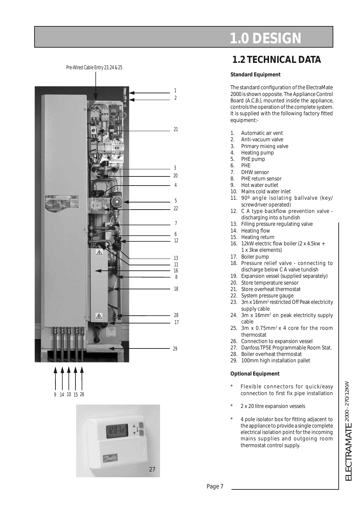

9 14 10 15 26



# **1.0 DESIGN**

# **1.2 TECHNICAL DATA**

### **Standard Equipment**

The standard configuration of the ElectraMate 2000 is shown opposite. The Appliance Control Board (A.C.B.), mounted inside the appliance, controls the operation of the complete system. It is supplied with the following factory fitted equipment:-

- 1. Automatic air vent
- 2. Anti-vacuum valve
- 3. Primary mixing valve
- 4. Heating pump
- 5. PHE pump
- 6. PHE
- 7. DHW sensor
- 8. PHE return sensor
- 9. Hot water outlet
- 10. Mains cold water inlet
- 11. 90º angle isolating ballvalve (key/ screwdriver operated)
- 12. C A type backflow prevention valve discharging into a tundish
- 13. Filling pressure regulating valve
- 14. Heating flow
- 15. Heating return
- 16. 12kW electric flow boiler (2 x 4.5kw + 1 x 3kw elements)
- 17. Boiler pump
- 18. Pressure relief valve connecting to discharge below C A valve tundish
- 19. Expansion vessel (supplied separately)
- 20. Store temperature sensor
- 21. Store overheat thermostat
- 22. System pressure gauge
- 23. 3m x 16mm<sup>2</sup> restricted Off Peak electricity supply cable
- 24.  $3m \times 16mm^2$  on peak electricity supply cable
- 25. 3m x 0.75mm2 x 4 core for the room thermostat
- 26. Connection to expansion vessel
- 27. Danfoss TP5E Programmable Room Stat.
- 28. Boiler overheat thermostat
- 29. 100mm high installation pallet

### **Optional Equipment**

- Flexible connectors for quick/easy connection to first fix pipe installation
- 2 x 20 litre expansion vessels
	- 4 pole isolator box for fitting adjacent to the appliance to provide a single complete electrical isolation point for the incoming mains supplies and outgoing room thermostat control supply.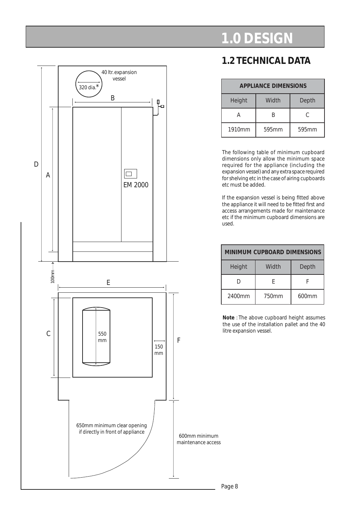

### **1.2 TECHNICAL DATA**

| <b>APPLIANCE DIMENSIONS</b> |       |       |  |  |
|-----------------------------|-------|-------|--|--|
| Height                      | Width | Depth |  |  |
| А                           | B     | C     |  |  |
| 1910mm                      | 595mm | 595mm |  |  |

The following table of minimum cupboard dimensions only allow the minimum space required for the appliance (including the expansion vessel) and any extra space required for shelving etc in the case of airing cupboards etc must be added.

If the expansion vessel is being fitted above the appliance it will need to be fitted first and access arrangements made for maintenance etc if the minimum cupboard dimensions are used.

| <b>MINIMUM CUPBOARD DIMENSIONS</b> |       |          |  |  |
|------------------------------------|-------|----------|--|--|
| Width<br>Height<br>Depth           |       |          |  |  |
| D                                  | F     |          |  |  |
| 2400mm                             | 750mm | $600$ mm |  |  |

**Note** : The above cupboard height assumes the use of the installation pallet and the 40 litre expansion vessel.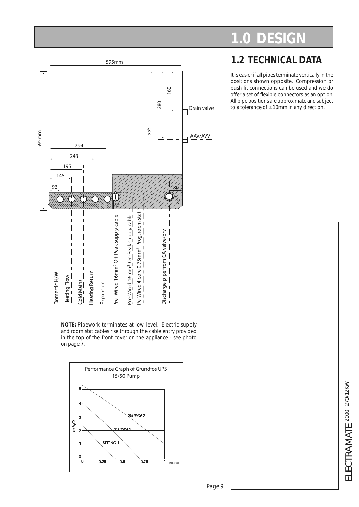

**1.2 TECHNICAL DATA**

It is easier if all pipes terminate vertically in the positions shown opposite. Compression or push fit connections can be used and we do offer a set of flexible connectors as an option. All pipe positions are approximate and subject to a tolerance of  $\pm$  10mm in any direction.

**NOTE:** Pipework terminates at low level. Electric supply and room stat cables rise through the cable entry provided in the top of the front cover on the appliance - see photo on page 7.

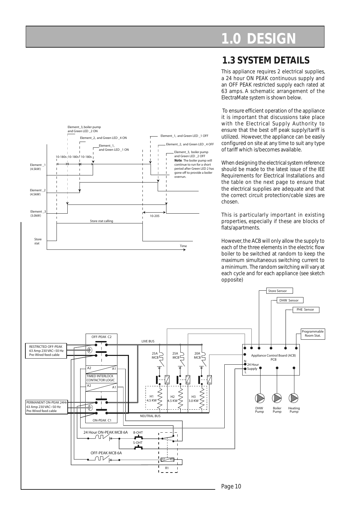

# **1.3 SYSTEM DETAILS**

This appliance requires 2 electrical supplies, a 24 hour ON PEAK continuous supply and an OFF PEAK restricted supply each rated at 63 amps. A schematic arrangement of the ElectraMate system is shown below.

 To ensure efficient operation of the appliance it is important that discussions take place with the Electrical Supply Authority to ensure that the best off peak supply/tariff is utilized. However, the appliance can be easily configured on site at any time to suit any type of tariff which is/becomes available.

When designing the electrical system reference should be made to the latest issue of the IEE Requirements for Electrical Installations and the table on the next page to ensure that the electrical supplies are adequate and that the correct circuit protection/cable sizes are

This is particularly important in existing properties, especially if these are blocks of

However, the ACB will only allow the supply to each of the three elements in the electric flow boiler to be switched at random to keep the maximum simultaneous switching current to a minimum. The random switching will vary at each cycle and for each appliance (see sketch

Store Sensor

DHW Sensor

PHE Sensor

Programmable Room Stat.

Boiler Pump

P<sub>CB</sub>

Ā

**Heating** Pump

đ.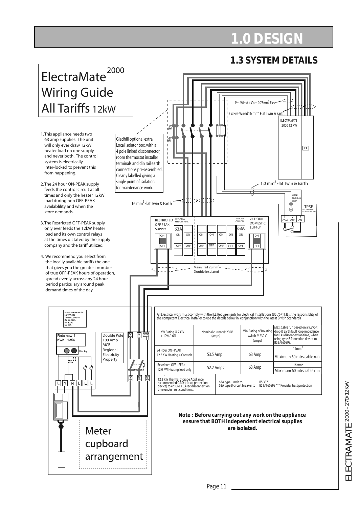### **1.3 SYSTEM DETAILS**

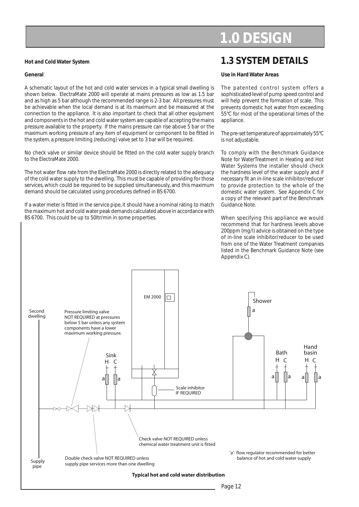# **0 DESIGI**

#### **Hot and Cold Water System**

#### **General**

A schematic layout of the hot and cold water services in a typical small dwelling is shown below. ElectraMate 2000 will operate at mains pressures as low as 1.5 bar and as high as 5 bar although the recommended range is 2-3 bar. All pressures must be achievable when the local demand is at its maximum and be measured at the connection to the appliance. It is also important to check that all other equipment and components in the hot and cold water system are capable of accepting the mains pressure available to the property. If the mains pressure can rise above 5 bar or the maximum working pressure of any item of equipment or component to be fitted in the system, a pressure limiting (reducing) valve set to 3 bar will be required.

No check valve or similar device should be fitted on the cold water supply branch to the ElectraMate 2000.

The hot water flow rate from the ElectraMate 2000 is directly related to the adequacy of the cold water supply to the dwelling. This must be capable of providing for those services, which could be required to be supplied simultaneously, and this maximum demand should be calculated using procedures defined in BS 6700.

If a water meter is fitted in the service pipe, it should have a nominal rating to match the maximum hot and cold water peak demands calculated above in accordance with BS 6700. This could be up to 50ltr/min in some properties.

### **1.3 SYSTEM DETAILS**

#### **Use in Hard Water Areas**

The patented control system offers a sophisticated level of pump speed control and will help prevent the formation of scale. This prevents domestic hot water from exceeding 55°C for most of the operational times of the appliance.

The pre-set temperature of approximately 55°C is not adjustable.

To comply with the Benchmark Guidance Note for WaterTreatment in Heating and Hot Water Systems the installer should check the hardness level of the water supply and if necessary fit an in-line scale inhibitor/reducer to provide protection to the whole of the domestic water system. See Appendix C for a copy of the relevant part of the Benchmark Guidance Note.

When specifying this appliance we would recommend that for hardness levels above 200ppm (mg/l) advice is obtained on the type of in-line scale inhibitor/reducer to be used from one of the Water Treatment companies listed in the Benchmark Guidance Note (see Appendix C).

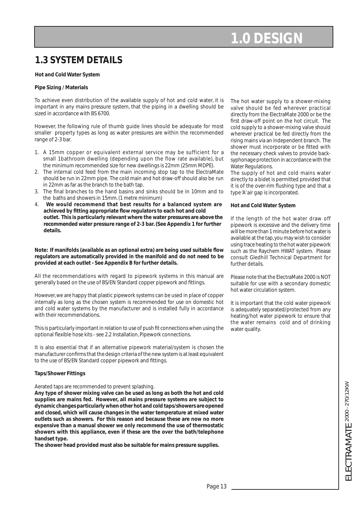## **1.3 SYSTEM DETAILS**

#### **Hot and Cold Water System**

#### **Pipe Sizing / Materials**

To achieve even distribution of the available supply of hot and cold water, it is important in any mains pressure system, that the piping in a dwelling should be sized in accordance with BS 6700.

However, the following rule of thumb guide lines should be adequate for most smaller property types as long as water pressures are within the recommended range of 2-3 bar.

- 1. A 15mm copper or equivalent external service may be sufficient for a small 1bathroom dwelling (depending upon the flow rate available), but the minimum recommended size for new dwellings is 22mm (25mm MDPE).
- 2. The internal cold feed from the main incoming stop tap to the ElectraMate should be run in 22mm pipe. The cold main and hot draw-off should also be run in 22mm as far as the branch to the bath tap.
- 3. The final branches to the hand basins and sinks should be in 10mm and to the baths and showers in 15mm. (1 metre minimum)
- 4. **We would recommend that best results for a balanced system are**  achieved by fitting appropriate flow regulators to each hot and cold  **outlet. This is particularly relevant where the water pressures are above the recommended water pressure range of 2-3 bar. (See Appendix 1 for further details.**

Note: If manifolds (available as an optional extra) are being used suitable flow **regulators are automatically provided in the manifold and do not need to be provided at each outlet - See Appendix B for further details.**

All the recommendations with regard to pipework systems in this manual are generally based on the use of BS/EN Standard copper pipework and fittings.

However, we are happy that plastic pipework systems can be used in place of copper internally as long as the chosen system is recommended for use on domestic hot and cold water systems by the manufacturer and is installed fully in accordance with their recommendations.

This is particularly important in relation to use of push fit connections when using the optional flexible hose kits - see 2.2 Installation, Pipework connections.

It is also essential that if an alternative pipework material/system is chosen the manufacturer confirms that the design criteria of the new system is at least equivalent to the use of BS/EN Standard copper pipework and fittings.

#### **Taps/Shower Fittings**

Aerated taps are recommended to prevent splashing.

**Any type of shower mixing valve can be used as long as both the hot and cold supplies are mains fed. However, all mains pressure systems are subject to dynamic changes particularly when other hot and cold taps/showers are opened and closed, which will cause changes in the water temperature at mixed water outlets such as showers. For this reason and because these are now no more expensive than a manual shower we only recommend the use of thermostatic showers with this appliance, even if these are the over the bath/telephone handset type.**

**The shower head provided must also be suitable for mains pressure supplies.**

The hot water supply to a shower-mixing valve should be fed wherever practical directly from the ElectraMate 2000 or be the first draw-off point on the hot circuit. The cold supply to a shower-mixing valve should wherever practical be fed directly from the rising mains via an independent branch. The shower must incorporate or be fitted with the necessary check valves to provide backsyphonage protection in accordance with the Water Regulations.

The supply of hot and cold mains water directly to a bidet is permitted provided that it is of the over-rim flushing type and that a type 'A' air gap is incorporated.

#### **Hot and Cold Water System**

If the length of the hot water draw off pipework is excessive and the delivery time will be more than 1 minute before hot water is available at the tap, you may wish to consider using trace heating to the hot water pipework such as the Raychem HWAT system. Please consult Gledhill Technical Department for further details.

Please note that the ElectraMate 2000 is NOT suitable for use with a secondary domestic hot water circulation system.

It is important that the cold water pipework is adequately separated/protected from any heating/hot water pipework to ensure that the water remains cold and of drinking water quality.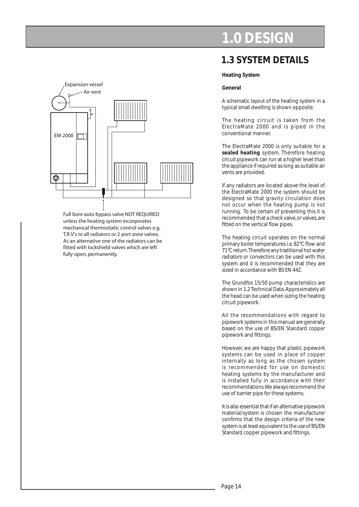

Full bore auto bypass valve NOT REQUIRED unless the heating system incorporates mechanical thermostatic control valves e.g. T.R.V's to all radiators or 2 port zone valves. As an alternative one of the radiators can be fitted with lockshield valves which are left fully open, permanently.

# **1.0 DESIGN**

### **1.3 SYSTEM DETAILS**

### **Heating System**

#### **General**

A schematic layout of the heating system in a typical small dwelling is shown opposite.

The heating circuit is taken from the ElectraMate 2000 and is piped in the conventional manner.

The ElectraMate 2000 is only suitable for a **sealed heating** system. Therefore heating circuit pipework can run at a higher level than the appliance if required as long as suitable air vents are provided.

If any radiators are located above the level of the ElectraMate 2000 the system should be designed so that gravity circulation does not occur when the heating pump is not running. To be certain of preventing this it is recommended that a check valve, or valves, are fitted on the vertical flow pipes.

The heating circuit operates on the normal primary boiler temperatures i.e. 82°C flow and 71°C return. Therefore any traditional hot water radiators or convectors can be used with this system and it is recommended that they are sized in accordance with BS EN 442.

The Grundfos 15/50 pump characteristics are shown in 1.2 Technical Data. Approximately all the head can be used when sizing the heating circuit pipework.

All the recommendations with regard to pipework systems in this manual are generally based on the use of BS/EN Standard copper pipework and fittings.

However, we are happy that plastic pipework systems can be used in place of copper internally as long as the chosen system is recommended for use on domestic heating systems by the manufacturer and is installed fully in accordance with their recommendations. We always recommend the use of barrier pipe for these systems.

It is also essential that if an alternative pipework material/system is chosen the manufacturer confirms that the design criteria of the new system is at least equivalent to the use of BS/EN Standard copper pipework and fittings.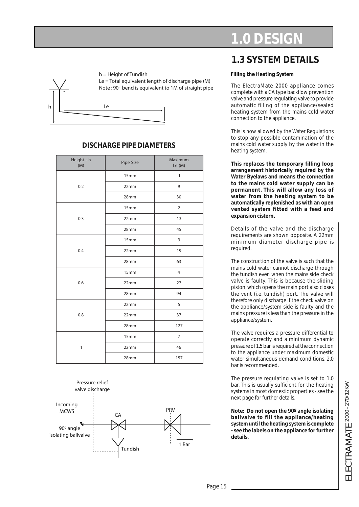# h | | | Le h = Height of Tundish Le = Total equivalent length of discharge pipe (M) Note : 90° bend is equivalent to 1M of straight pipe

### **DISCHARGE PIPE DIAMETERS**

| Height - h<br>(M) | Pipe Size | Maximum<br>Le $(M)$ |
|-------------------|-----------|---------------------|
|                   | 15mm      | 1                   |
| 0.2               | 22mm      | 9                   |
|                   | 28mm      | 30                  |
|                   | 15mm      | $\overline{2}$      |
| 0.3               | 22mm      | 13                  |
|                   | 28mm      | 45                  |
|                   | 15mm      | 3                   |
| 0.4               | 22mm      | 19                  |
|                   | 28mm      | 63                  |
|                   | 15mm      | $\overline{4}$      |
| 0.6               | 22mm      | 27                  |
|                   | 28mm      | 94                  |
|                   | 22mm      | 5                   |
| 0.8               | 22mm      | 37                  |
|                   | 28mm      | 127                 |
|                   | 15mm      | $\overline{7}$      |
| $\mathbf{1}$      | 22mm      | 46                  |
|                   | 28mm      | 157                 |



## **1.3 SYSTEM DETAILS**

### **Filling the Heating System**

The ElectraMate 2000 appliance comes complete with a CA type backflow prevention valve and pressure regulating valve to provide automatic filling of the appliance/sealed heating system from the mains cold water connection to the appliance.

This is now allowed by the Water Regulations to stop any possible contamination of the mains cold water supply by the water in the heating system.

**This replaces the temporary filling loop arrangement historically required by the Water Byelaws and means the connection to the mains cold water supply can be permanent. This will allow any loss of water from the heating system to be automatically replenished as with an open vented system fitted with a feed and expansion cistern.**

Details of the valve and the discharge requirements are shown opposite. A 22mm minimum diameter discharge pipe is required.

The construction of the valve is such that the mains cold water cannot discharge through the tundish even when the mains side check valve is faulty. This is because the sliding piston, which opens the main port also closes the vent (i.e. tundish) port. The valve will therefore only discharge if the check valve on the appliance/system side is faulty and the mains pressure is less than the pressure in the appliance/system.

The valve requires a pressure differential to operate correctly and a minimum dynamic pressure of 1.5 bar is required at the connection to the appliance under maximum domestic water simultaneous demand conditions, 2.0 bar is recommended.

The pressure regulating valve is set to 1.0 bar. This is usually sufficient for the heating systems in most domestic properties - see the next page for further details.

**Note: Do not open the 90º angle isolating ballvalve to fill the appliance/heating system until the heating system is complete - see the labels on the appliance for further details.**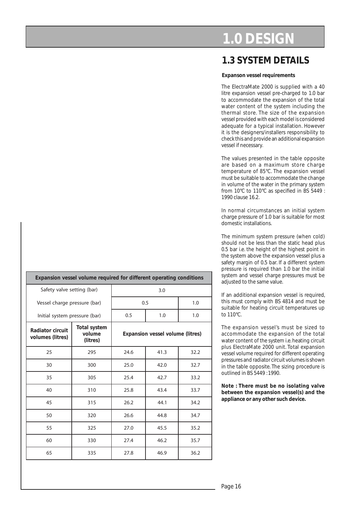## **1.3 SYSTEM DETAILS**

### **Expanson vessel requirements**

The ElectraMate 2000 is supplied with a 40 litre expansion vessel pre-charged to 1.0 bar to accommodate the expansion of the total water content of the system including the thermal store. The size of the expansion vessel provided with each model is considered adequate for a typical installation. However it is the designers/installers responsibility to check this and provide an additional expansion vessel if necessary.

The values presented in the table opposite are based on a maximum store charge temperature of 85°C. The expansion vessel must be suitable to accommodate the change in volume of the water in the primary system from 10°C to 110°C as specified in BS 5449 : 1990 clause 16.2.

In normal circumstances an initial system charge pressure of 1.0 bar is suitable for most domestic installations.

The minimum system pressure (when cold) should not be less than the static head plus 0.5 bar i.e. the height of the highest point in the system above the expansion vessel plus a safety margin of 0.5 bar. If a different system pressure is required than 1.0 bar the initial system and vessel charge pressures must be adjusted to the same value.

If an additional expansion vessel is required, this must comply with BS 4814 and must be suitable for heating circuit temperatures up to 110°C.

The expansion vessel's must be sized to accommodate the expansion of the total water content of the system i.e. heating circuit plus ElectraMate 2000 unit. Total expansion vessel volume required for different operating pressures and radiator circuit volumes is shown in the table opposite. The sizing procedure is outlined in BS 5449 : 1990.

#### **Note : There must be no isolating valve between the expansion vessel(s) and the appliance or any other such device.**

| Expansion vessel volume required for different operating conditions |                                           |                                         |      |      |  |
|---------------------------------------------------------------------|-------------------------------------------|-----------------------------------------|------|------|--|
| Safety valve setting (bar)                                          |                                           | 3.0                                     |      |      |  |
| Vessel charge pressure (bar)                                        |                                           | 0.5                                     |      | 1.0  |  |
| Initial system pressure (bar)                                       |                                           | 0.5                                     | 1.0  | 1.0  |  |
| <b>Radiator circuit</b><br>volumes (litres)                         | <b>Total system</b><br>volume<br>(litres) | <b>Expansion vessel volume (litres)</b> |      |      |  |
| 25                                                                  | 295                                       | 24.6                                    | 41.3 | 32.2 |  |
| 30                                                                  | 300                                       | 25.0                                    | 42.0 | 32.7 |  |
| 35                                                                  | 305                                       | 25.4                                    | 42.7 | 33.2 |  |
| 40                                                                  | 310                                       | 25.8<br>43.4                            |      | 33.7 |  |
| 45                                                                  | 315                                       | 26.2<br>44.1                            |      | 34.2 |  |
| 50                                                                  | 320                                       | 26.6                                    | 44.8 | 34.7 |  |
| 55                                                                  | 325                                       | 27.0                                    | 45.5 | 35.2 |  |
| 60                                                                  | 330                                       | 27.4<br>46.2<br>35.7                    |      |      |  |
| 65                                                                  | 335                                       | 27.8<br>46.9<br>36.2                    |      |      |  |
|                                                                     |                                           |                                         |      |      |  |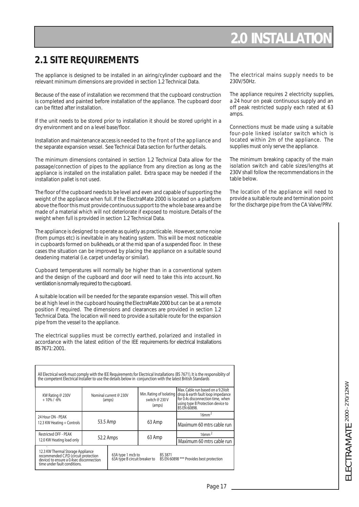# **2.0 INSTALLAT**

# **2.1 SITE REQUIREMENTS**

The appliance is designed to be installed in an airing/cylinder cupboard and the relevant minimum dimensions are provided in section 1.2 Technical Data.

Because of the ease of installation we recommend that the cupboard construction is completed and painted before installation of the appliance. The cupboard door can be fitted after installation.

If the unit needs to be stored prior to installation it should be stored upright in a dry environment and on a level base/floor.

Installation and maintenance access is needed to the front of the appliance and the separate expansion vessel. See Technical Data section for further details.

The minimum dimensions contained in section 1.2 Technical Data allow for the passage/connection of pipes to the appliance from any direction as long as the appliance is installed on the installation pallet. Extra space may be needed if the installation pallet is not used.

The floor of the cupboard needs to be level and even and capable of supporting the weight of the appliance when full. If the ElectraMate 2000 is located on a platform above the floor this must provide continuous support to the whole base area and be made of a material which will not deteriorate if exposed to moisture. Details of the weight when full is provided in section 1.2 Technical Data.

The appliance is designed to operate as quietly as practicable. However, some noise (from pumps etc) is inevitable in any heating system. This will be most noticeable in cupboards formed on bulkheads, or at the mid span of a suspended floor. In these cases the situation can be improved by placing the appliance on a suitable sound deadening material (i.e. carpet underlay or similar).

Cupboard temperatures will normally be higher than in a conventional system and the design of the cupboard and door will need to take this into account. No ventilation is normally required to the cupboard.

A suitable location will be needed for the separate expansion vessel. This will often be at high level in the cupboard housing the ElectraMate 2000 but can be at a remote position if required. The dimensions and clearances are provided in section 1.2 Technical Data. The location will need to provide a suitable route for the expansion pipe from the vessel to the appliance.

The electrical supplies must be correctly earthed, polarized and installed in accordance with the latest edition of the IEE requirements for electrical Installations BS 7671: 2001.

All Electrical work must comply with the IEE Requirements for Electrical Installations (BS 7671). It is the responsiblity of<br>the competent Electrical Installer to use the details below in conjunction with the latest Britis

| KW Rating @ 230V<br>$+10\%$ / $-6\%$                                                                                                                   | Nominal current @ 230V<br>(amps) |                                                    | Min. Rating of Isolating<br>switch @ 230 V<br>(amps) | Max. Cable run based on a 9.2Volt<br>drop & earth fault loop impedance<br>for 0.4s disconnection time, when<br>using type B Protection device to<br><b>BS EN 60898.</b> |
|--------------------------------------------------------------------------------------------------------------------------------------------------------|----------------------------------|----------------------------------------------------|------------------------------------------------------|-------------------------------------------------------------------------------------------------------------------------------------------------------------------------|
| 24 Hour ON - PEAK                                                                                                                                      |                                  |                                                    |                                                      | $16$ mm <sup>2</sup>                                                                                                                                                    |
| 12.3 KW Heating + Controls                                                                                                                             | 53.5 Amp                         |                                                    | 63 Amp                                               | Maximum 60 mtrs cable run                                                                                                                                               |
| <b>Restricted OFF - PEAK</b>                                                                                                                           |                                  |                                                    | 63 Amp                                               | $16$ mm $2$                                                                                                                                                             |
| 12.0 KW Heating load only                                                                                                                              | 52.2 Amps                        |                                                    |                                                      | Maximum 60 mtrs cable run                                                                                                                                               |
| 12.3 KW Thermal Storage Appliance<br>recommended C.P.D (circuit protection<br>device) to ensure a 0.4sec disconnection<br>time under fault conditions. |                                  | 63A type 1 mcb to<br>63A type B circuit breaker to | BS 3871                                              | BS EN 60898 *** Provides best protection                                                                                                                                |

The electrical mains supply needs to be 230V/50Hz.

The appliance requires 2 electricity supplies, a 24 hour on peak continuous supply and an off peak restricted supply each rated at 63 amps.

Connections must be made using a suitable four-pole linked isolator switch which is located within 2m of the appliance. The supplies must only serve the appliance.

The minimum breaking capacity of the main isolation switch and cable sizes/lengths at 230V shall follow the recommendations in the table below.

The location of the appliance will need to provide a suitable route and termination point for the discharge pipe from the CA Valve/PRV.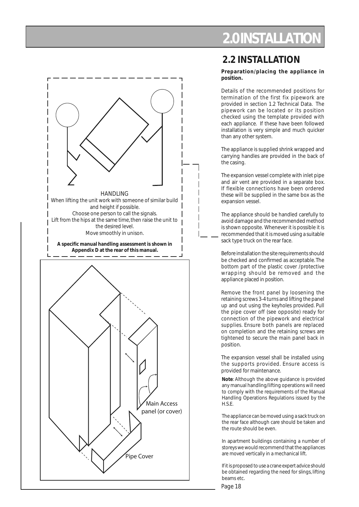

### **2.2 INSTALLATION**

#### **Preparation/placing the appliance in position.**

Details of the recommended positions for termination of the first fix pipework are provided in section 1.2 Technical Data. The pipework can be located or its position checked using the template provided with each appliance. If these have been followed installation is very simple and much quicker than any other system.

The appliance is supplied shrink wrapped and carrying handles are provided in the back of the casing.

The expansion vessel complete with inlet pipe and air vent are provided in a separate box. If flexible connections have been ordered these will be supplied in the same box as the expansion vessel.

The appliance should be handled carefully to avoid damage and the recommended method is shown opposite. Whenever it is possible it is recommended that it is moved using a suitable sack type truck on the rear face.

Before installation the site requirements should be checked and confirmed as acceptable. The bottom part of the plastic cover /protective wrapping should be removed and the appliance placed in position.

Remove the front panel by loosening the retaining screws 3-4 turns and lifting the panel up and out using the keyholes provided. Pull the pipe cover off (see opposite) ready for connection of the pipework and electrical supplies. Ensure both panels are replaced on completion and the retaining screws are tightened to secure the main panel back in position.

The expansion vessel shall be installed using the supports provided. Ensure access is provided for maintenance.

**Note**: Although the above guidance is provided any manual handling/lifting operations will need to comply with the requirements of the Manual Handling Operations Regulations issued by the H.S.E.

The appliance can be moved using a sack truck on the rear face although care should be taken and the route should be even.

In apartment buildings containing a number of storeys we would recommend that the appliances are moved vertically in a mechanical lift.

If it is proposed to use a crane expert advice should be obtained regarding the need for slings, lifting beams etc.

Page 18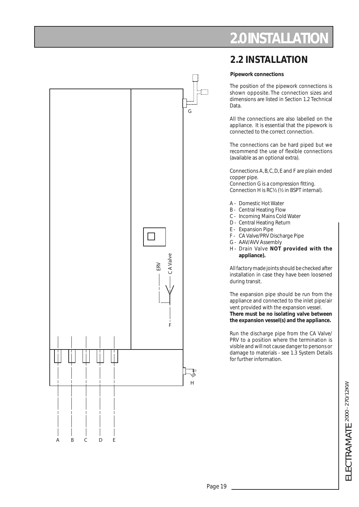### **2.2 INSTALLATION**

### **Pipework connections**

The position of the pipework connections is shown opposite. The connection sizes and dimensions are listed in Section 1.2 Technical Data.

All the connections are also labelled on the appliance. It is essential that the pipework is connected to the correct connection.

The connections can be hard piped but we recommend the use of flexible connections (available as an optional extra).

Connections A, B, C, D, E and F are plain ended copper pipe. Connection G is a compression fitting. Connection H is RC½ (½ in BSPT internal).

- A Domestic Hot Water
- B Central Heating Flow
- C Incoming Mains Cold Water
- D Central Heating Return
- E Expansion Pipe
- F CA Valve/PRV Discharge Pipe
- G AAV/AVV Assembly
- H Drain Valve **NOT provided with the appliance).**

All factory made joints should be checked after installation in case they have been loosened during transit.

The expansion pipe should be run from the appliance and connected to the inlet pipe/air vent provided with the expansion vessel. **There must be no isolating valve between** 

### **the expansion vessel(s) and the appliance.**

Run the discharge pipe from the CA Valve/ PRV to a position where the termination is visible and will not cause danger to persons or damage to materials - see 1.3 System Details for further information.

> ELECTRAMATE<sup>2000-270/12KW</sup> ELECTRAMATE 2000 - 270/12KW

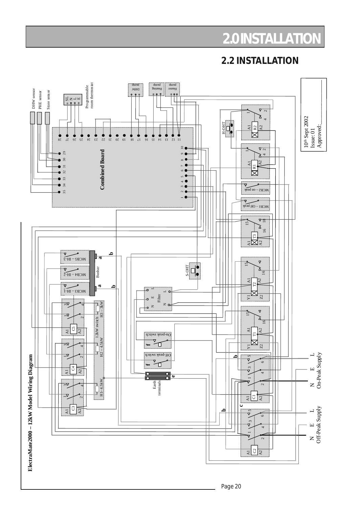### **2.2 INSTALLATION**

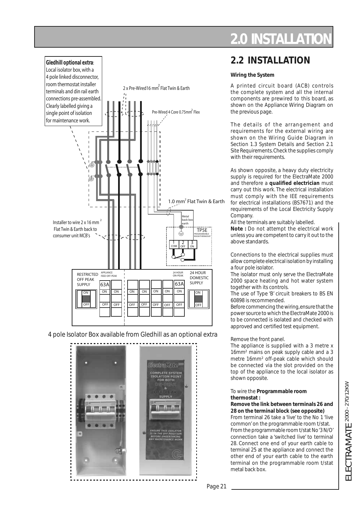# **2.0 INSTALLATIC**



4 pole Isolator Box available from Gledhill as an optional extra



## **2.2 INSTALLATION**

### **Wiring the System**

A printed circuit board (ACB) controls the complete system and all the internal components are prewired to this board, as shown on the Appliance Wiring Diagram on the previous page.

The details of the arrangement and requirements for the external wiring are shown on the Wiring Guide Diagram in Section 1.3 System Details and Section 2.1 Site Requirements. Check the supplies comply with their requirements.

As shown opposite, a heavy duty electricity supply is required for the ElectraMate 2000 and therefore a **qualified electrician** must carry out this work. The electrical installation must comply with the IEE requirements for electrical installations (BS7671) and the requirements of the Local Electricity Supply Company.

All the terminals are suitably labelled.

**Note :** Do not attempt the electrical work unless you are competent to carry it out to the above standards.

Connections to the electrical supplies must allow complete electrical isolation by installing a four pole isolator.

The isolator must only serve the ElectraMate 2000 space heating and hot water system together with its controls.

The use of Type 'B' circuit breakers to BS EN 60898 is recommended.

Before commencing the wiring, ensure that the power source to which the ElectraMate 2000 is to be connected is isolated and checked with approved and certified test equipment.

Remove the front panel.

The appliance is supplied with a 3 metre x 16mm² mains on peak supply cable and a 3 metre 16mm² off-peak cable which should be connected via the slot provided on the top of the appliance to the local isolator as shown opposite.

#### To wire the **Programmable room thermostat :**

#### **Remove the link between terminals 26 and 28 on the terminal block (see opposite)**

From terminal 26 take a 'live' to the No 1 'live common' on the programmable room t/stat. From the programmable room t/stat No '3 N/O' connection take a 'switched live' to terminal 28. Connect one end of your earth cable to terminal 25 at the appliance and connect the other end of your earth cable to the earth terminal on the programmable room t/stat metal back box.

Page 21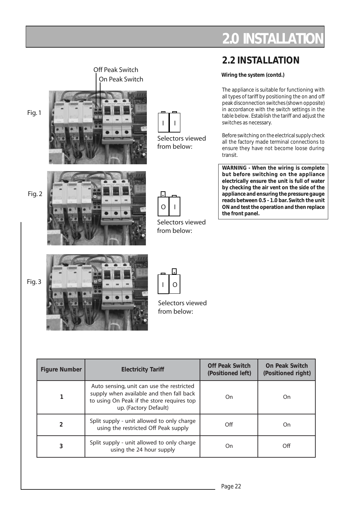



Selectors viewed from below:

 $\Omega$ 

Selectors viewed from below:

**2.2 INSTALLATION**

**Wiring the system (contd.)**

The appliance is suitable for functioning with all types of tariff by positioning the on and off peak disconnection switches (shown opposite) in accordance with the switch settings in the table below. Establish the tariff and adjust the switches as necessary.

Before switching on the electrical supply check all the factory made terminal connections to ensure they have not become loose during transit.

**WARNING - When the wiring is complete but before switching on the appliance electrically ensure the unit is full of water by checking the air vent on the side of the appliance and ensuring the pressure gauge reads between 0.5 - 1.0 bar. Switch the unit ON and test the operation and then replace the front panel.**



Fig. 3





Selectors viewed from below:

| <b>Figure Number</b> | <b>Electricity Tariff</b>                                                                                                                                    | <b>Off Peak Switch</b><br>(Positioned left) | <b>On Peak Switch</b><br>(Positioned right) |
|----------------------|--------------------------------------------------------------------------------------------------------------------------------------------------------------|---------------------------------------------|---------------------------------------------|
|                      | Auto sensing, unit can use the restricted<br>supply when available and then fall back<br>to using On Peak if the store requires top<br>up. (Factory Default) | On                                          | On                                          |
| $\overline{2}$       | Split supply - unit allowed to only charge<br>using the restricted Off Peak supply                                                                           | Off                                         | On                                          |
| 3                    | Split supply - unit allowed to only charge<br>using the 24 hour supply                                                                                       | On                                          | Off                                         |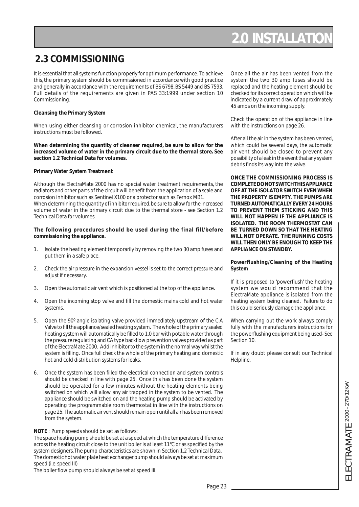## **2.3 COMMISSIONING**

It is essential that all systems function properly for optimum performance. To achieve this, the primary system should be commissioned in accordance with good practice and generally in accordance with the requirements of BS 6798, BS 5449 and BS 7593. Full details of the requirements are given in PAS 33:1999 under section 10 Commissioning.

### **Cleansing the Primary System**

When using either cleansing or corrosion inhibitor chemical, the manufacturers instructions must be followed.

**When determining the quantity of cleanser required, be sure to allow for the increased volume of water in the primary circuit due to the thermal store. See section 1.2 Technical Data for volumes.**

#### **Primary Water System Treatment**

Although the ElectraMate 2000 has no special water treatment requirements, the radiators and other parts of the circuit will benefit from the application of a scale and corrosion inhibitor such as Sentinel X100 or a protector such as Fernox MB1. When determining the quantity of inhibitor required, be sure to allow for the increased volume of water in the primary circuit due to the thermal store - see Section 1.2 Technical Data for volumes.

#### **The following procedures should be used during the final fill/before commissioning the appliance.**

- 1. Isolate the heating element temporarily by removing the two 30 amp fuses and put them in a safe place.
- 2. Check the air pressure in the expansion vessel is set to the correct pressure and adjust if necessary.
- 3. Open the automatic air vent which is positioned at the top of the appliance.
- 4. Open the incoming stop valve and fill the domestic mains cold and hot water systems.
- 5. Open the 90º angle isolating valve provided immediately upstream of the C.A Valve to fill the appliance/sealed heating system. The whole of the primary sealed heating system will automatically be filled to 1.0 bar with potable water through the pressure regulating and CA type backflow prevention valves provided as part of the ElectraMate 2000. Add inhibitor to the system in the normal way whilst the system is filling. Once full check the whole of the primary heating and domestic hot and cold distribution systems for leaks.
- 6. Once the system has been filled the electrical connection and system controls should be checked in line with page 25. Once this has been done the system should be operated for a few minutes without the heating elements being switched on which will allow any air trapped in the system to be vented. The appliance should be switched on and the heating pump should be activated by operating the programmable room thermostat in line with the instructions on page 25. The automatic air vent should remain open until all air has been removed from the system.

### **NOTE** : Pump speeds should be set as follows:

The space heating pump should be set at a speed at which the temperature difference across the heating circuit close to the unit boiler is at least 11°C or as specified by the system designers. The pump characteristics are shown in Section 1.2 Technical Data. The domestic hot water plate heat exchanger pump should always be set at maximum speed (i.e. speed III)

The boiler flow pump should always be set at speed III.

Once all the air has been vented from the system the two 30 amp fuses should be replaced and the heating element should be checked for its correct operation which will be indicated by a current draw of approximately 45 amps on the incoming supply.

Check the operation of the appliance in line with the instructions on page 26.

After all the air in the system has been vented, which could be several days, the automatic air vent should be closed to prevent any possibility of a leak in the event that any system debris finds its way into the valve.

**ONCE THE COMMISSIONING PROCESS IS COMPLETE DO NOT SWITCH THIS APPLIANCE OFF AT THE ISOLATOR SWITCH EVEN WHEN THE PROPERTY IS EMPTY. THE PUMPS ARE TURNED AUTOMATICALLY EVERY 24 HOURS TO PREVENT THEM STICKING AND THIS WILL NOT HAPPEN IF THE APPLIANCE IS ISOLATED. THE ROOM THERMOSTAT CAN BE TURNED DOWN SO THAT THE HEATING WILL NOT OPERATE. THE RUNNING COSTS WILL THEN ONLY BE ENOUGH TO KEEP THE APPLIANCE ON STANDBY.**

#### **Powerflushing/Cleaning of the Heating System**

If it is proposed to 'powerflush' the heating system we would recommend that the ElectraMate appliance is isolated from the heating system being cleaned. Failure to do this could seriously damage the appliance.

When carrying out the work always comply fully with the manufacturers instructions for the powerflushing equipment being used- See Section 10.

If in any doubt please consult our Technical Helpline.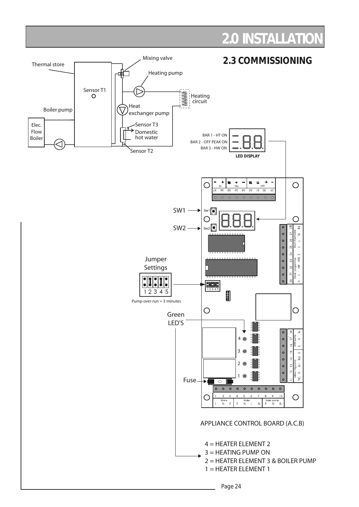

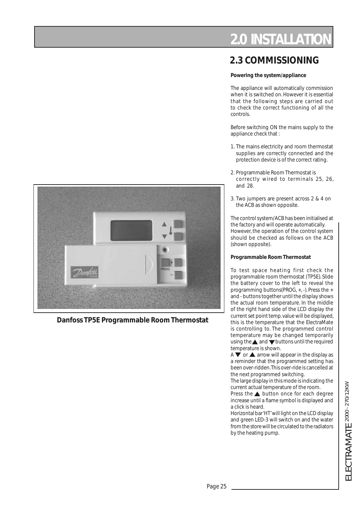# **2.0 INSTALLATIC**

## **2.3 COMMISSIONING**

### **Powering the system/appliance**

The appliance will automatically commission when it is switched on. However it is essential that the following steps are carried out to check the correct functioning of all the controls.

Before switching ON the mains supply to the appliance check that :

- 1. The mains electricity and room thermostat supplies are correctly connected and the protection device is of the correct rating.
- 2. Programmable Room Thermostat is correctly wired to terminals 25, 26, and 28.
- 3. Two jumpers are present across 2 & 4 on the ACB as shown opposite.

The control system/ACB has been initialised at the factory and will operate automatically. However, the operation of the control system should be checked as follows on the ACB (shown opposite).

### **Programmable Room Thermostat**

To test space heating first check the programmable room thermostat (TP5E). Slide the battery cover to the left to reveal the programming buttons(PROG, +, -). Press the + and - buttons together until the display shows the actual room temperature. In the middle of the right hand side of the LCD display the current set point temp. value will be displayed, this is the temperature that the ElectraMate is controlling to. The programmed control temperature may be changed temporarily using the  $\blacktriangle$  and  $\nabla$  buttons until the required temperature is shown.

 $A \blacktriangledown$  or  $\blacktriangle$  arrow will appear in the display as a reminder that the programmed setting has been over-ridden. This over-ride is cancelled at the next programmed switching.

The large display in this mode is indicating the current actual temperature of the room.

Press the  $\blacktriangle$  button once for each degree increase until a flame symbol is displayed and a click is heard.

Horizontal bar 'HT' will light on the LCD display and green LED-3 will switch on and the water from the store will be circulated to the radiators by the heating pump.



**Danfoss TP5E Programmable Room Thermostat**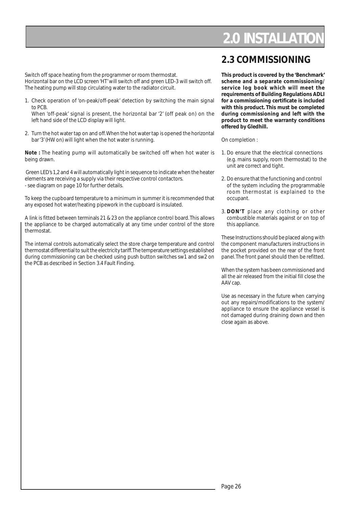Switch off space heating from the programmer or room thermostat. Horizontal bar on the LCD screen 'HT' will switch off and green LED-3 will switch off.

The heating pump will stop circulating water to the radiator circuit.

1. Check operation of 'on-peak/off-peak' detection by switching the main signal to PCB.

 When 'off-peak' signal is present, the horizontal bar '2' (off peak on) on the left hand side of the LCD display will light.

2. Turn the hot water tap on and off. When the hot water tap is opened the horizontal bar '3' (HW on) will light when the hot water is running.

**Note :** The heating pump will automatically be switched off when hot water is being drawn.

 Green LED's 1,2 and 4 will automatically light in sequence to indicate when the heater elements are receiving a supply via their respective control contactors. - see diagram on page 10 for further details.

To keep the cupboard temperature to a minimum in summer it is recommended that any exposed hot water/heating pipework in the cupboard is insulated.

A link is fitted between terminals 21 & 23 on the appliance control board. This allows the appliance to be charged automatically at any time under control of the store thermostat.

The internal controls automatically select the store charge temperature and control thermostat differential to suit the electricity tariff. The temperature settings established during commissioning can be checked using push button switches sw1 and sw2 on the PCB as described in Section 3.4 Fault Finding.

## **2.3 COMMISSIONING**

**This product is covered by the 'Benchmark' scheme and a separate commissioning/ service log book which will meet the requirements of Building Regulations ADLI for a commissioning certificate is included with this product. This must be completed during commissioning and left with the product to meet the warranty conditions offered by Gledhill.**

On completion :

- 1. Do ensure that the electrical connections (e.g. mains supply, room thermostat) to the unit are correct and tight.
- 2. Do ensure that the functioning and control of the system including the programmable room thermostat is explained to the occupant.
- 3. **DON'T** place any clothing or other combustible materials against or on top of this appliance.

These Instructions should be placed along with the component manufacturers instructions in the pocket provided on the rear of the front panel. The front panel should then be refitted.

When the system has been commissioned and all the air released from the initial fill close the AAV cap.

Use as necessary in the future when carrying out any repairs/modifications to the system/ appliance to ensure the appliance vessel is not damaged during draining down and then close again as above.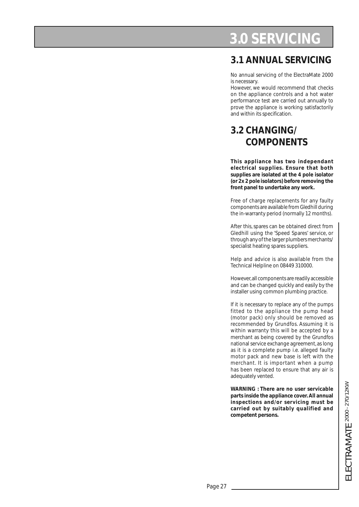## **3.1 ANNUAL SERVICING**

No annual servicing of the ElectraMate 2000 is necessary.

However, we would recommend that checks on the appliance controls and a hot water performance test are carried out annually to prove the appliance is working satisfactorily and within its specification.

## **3.2 CHANGING/ COMPONENTS**

**This appliance has two independant electrical supplies. Ensure that both supplies are isolated at the 4 pole isolator (or 2x 2 pole isolators) before removing the front panel to undertake any work.**

Free of charge replacements for any faulty components are available from Gledhill during the in-warranty period (normally 12 months).

After this, spares can be obtained direct from Gledhill using the 'Speed Spares' service, or through any of the larger plumbers merchants/ specialist heating spares suppliers.

Help and advice is also available from the Technical Helpline on 08449 310000.

However, all components are readily accessible and can be changed quickly and easily by the installer using common plumbing practice.

If it is necessary to replace any of the pumps fitted to the appliance the pump head (motor pack) only should be removed as recommended by Grundfos. Assuming it is within warranty this will be accepted by a merchant as being covered by the Grundfos national service exchange agreement, as long as it is a complete pump i.e. alleged faulty motor pack and new base is left with the merchant. It is important when a pump has been replaced to ensure that any air is adequately vented.

**WARNING : There are no user servicable parts inside the appliance cover. All annual inspections and/or servicing must be carried out by suitably qualified and competent persons.**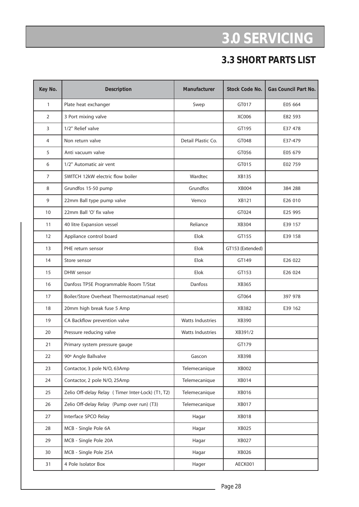# **3.3 SHORT PARTS LIST**

| Key No.        | Description                                       | <b>Manufacturer</b> | <b>Stock Code No.</b> | <b>Gas Council Part No.</b> |
|----------------|---------------------------------------------------|---------------------|-----------------------|-----------------------------|
| $\mathbf{1}$   | Plate heat exchanger                              | Swep                | GT017                 | E05 664                     |
| $\overline{2}$ | 3 Port mixing valve                               |                     | XC006                 | E82 593                     |
| 3              | 1/2" Relief valve                                 |                     | GT195                 | E37 478                     |
| 4              | Non return valve                                  | Detail Plastic Co.  | GT048                 | E37-479                     |
| 5              | Anti vacuum valve                                 |                     | GT056                 | E05 679                     |
| 6              | 1/2" Automatic air vent                           |                     | GT015                 | E02 759                     |
| $\overline{7}$ | SWITCH 12kW electric flow boiler                  | Wardtec             | XB135                 |                             |
| 8              | Grundfos 15-50 pump                               | Grundfos            | XB004                 | 384 288                     |
| 9              | 22mm Ball type pump valve                         | Vemco               | XB121                 | E26 010                     |
| 10             | 22mm Ball 'O' fix valve                           |                     | GT024                 | E25 995                     |
| 11             | 40 litre Expansion vessel                         | Reliance            | XB304                 | E39 157                     |
| 12             | Appliance control board                           | Elok                | GT155                 | E39 158                     |
| 13             | PHE return sensor                                 | Elok                | GT153 (Extended)      |                             |
| 14             | Store sensor                                      | Elok                | GT149                 | E26 022                     |
| 15             | DHW sensor                                        | Elok                | GT153                 | E26 024                     |
| 16             | Danfoss TP5E Programmable Room T/Stat             | Danfoss             | XB365                 |                             |
| 17             | Boiler/Store Overheat Thermostat(manual reset)    |                     | GT064                 | 397 978                     |
| 18             | 20mm high break fuse 5 Amp                        |                     | XB382                 | E39 162                     |
| 19             | CA Backflow prevention valve                      | Watts Industries    | XB390                 |                             |
| 20             | Pressure reducing valve                           | Watts Industries    | XB391/2               |                             |
| 21             | Primary system pressure gauge                     |                     | GT179                 |                             |
| 22             | 90° Angle Ballvalve                               | Gascon              | XB398                 |                             |
| 23             | Contactor, 3 pole N/O, 63Amp                      | Telemecanique       | XB002                 |                             |
| 24             | Contactor, 2 pole N/O, 25Amp                      | Telemecanique       | XB014                 |                             |
| 25             | Zelio Off-delay Relay (Timer Inter-Lock) (T1, T2) | Telemecanique       | XB016                 |                             |
| 26             | Zelio Off-delay Relay (Pump over run) (T3)        | Telemecanique       | XB017                 |                             |
| 27             | Interface SPCO Relay                              | Hagar               | XB018                 |                             |
| 28             | MCB - Single Pole 6A                              | Hagar               | XB025                 |                             |
| 29             | MCB - Single Pole 20A                             | Hagar               | XB027                 |                             |
| 30             | MCB - Single Pole 25A                             | Hagar               | XB026                 |                             |
| 31             | 4 Pole Isolator Box                               | Hager               | AECK001               |                             |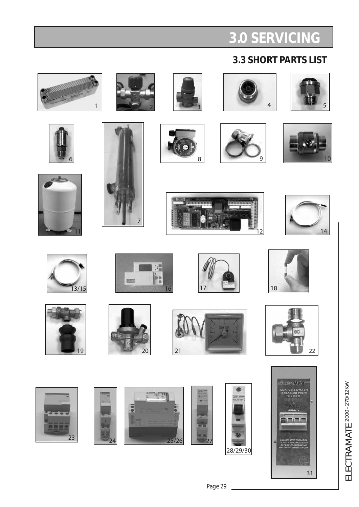# **3.3 SHORT PARTS LIST**





















**9** 10







23 24 25/26 27









Page 29

28/29/30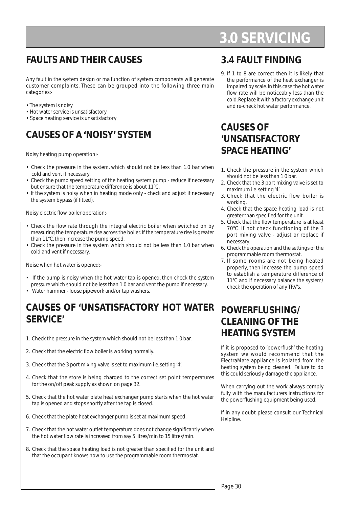# **FAULTS AND THEIR CAUSES 3.4 FAULT FINDING**

Any fault in the system design or malfunction of system components will generate customer complaints. These can be grouped into the following three main categories:-

- The system is noisy
- Hot water service is unsatisfactory
- Space heating service is unsatisfactory

## **CAUSES OF A 'NOISY' SYSTEM**

Noisy heating pump operation:-

- Check the pressure in the system, which should not be less than 1.0 bar when cold and vent if necessary.
- Check the pump speed setting of the heating system pump reduce if necessary but ensure that the temperature difference is about 11°C.
- If the system is noisy when in heating mode only check and adjust if necessary the system bypass (if fitted).

Noisy electric flow boiler operation:-

- Check the flow rate through the integral electric boiler when switched on by measuring the temperature rise across the boiler. If the temperature rise is greater than 11°C, then increase the pump speed.
- Check the pressure in the system which should not be less than 1.0 bar when cold and vent if necessary.

Noise when hot water is opened:-

- If the pump is noisy when the hot water tap is opened, then check the system pressure which should not be less than 1.0 bar and vent the pump if necessary.
- Water hammer loose pipework and/or tap washers.

### **CAUSES OF 'UNSATISFACTORY HOT WATER SERVICE'**

- 1. Check the pressure in the system which should not be less than 1.0 bar.
- 2. Check that the electric flow boiler is working normally.
- 3. Check that the 3 port mixing valve is set to maximum i.e. setting '4'.
- 4. Check that the store is being charged to the correct set point temperatures for the on/off peak supply as shown on page 32.
- 5. Check that the hot water plate heat exchanger pump starts when the hot water tap is opened and stops shortly after the tap is closed.
- 6. Check that the plate heat exchanger pump is set at maximum speed.
- 7. Check that the hot water outlet temperature does not change significantly when the hot water flow rate is increased from say 5 litres/min to 15 litres/min.
- 8. Check that the space heating load is not greater than specified for the unit and that the occupant knows how to use the programmable room thermostat.

9. If 1 to 8 are correct then it is likely that the performance of the heat exchanger is impaired by scale. In this case the hot water flow rate will be noticeably less than the cold. Replace it with a factory exchange unit and re-check hot water performance.

## **CAUSES OF 'UNSATISFACTORY SPACE HEATING'**

- 1. Check the pressure in the system which should not be less than 1.0 bar.
- 2. Check that the 3 port mixing valve is set to maximum i.e. setting '4'.
- 3. Check that the electric flow boiler is working.
- 4. Check that the space heating load is not greater than specified for the unit.
- 5. Check that the flow temperature is at least 70°C. If not check functioning of the 3 port mixing valve - adjust or replace if necessary.
- 6. Check the operation and the settings of the programmable room thermostat.
- 7. If some rooms are not being heated properly, then increase the pump speed to establish a temperature difference of 11°C and if necessary balance the system/ check the operation of any TRV's.

## **POWERFLUSHING/ CLEANING OF THE HEATING SYSTEM**

If it is proposed to 'powerflush' the heating system we would recommend that the ElectraMate appliance is isolated from the heating system being cleaned. Failure to do this could seriously damage the appliance.

When carrying out the work always comply fully with the manufacturers instructions for the powerflushing equipment being used.

If in any doubt please consult our Technical Helpline.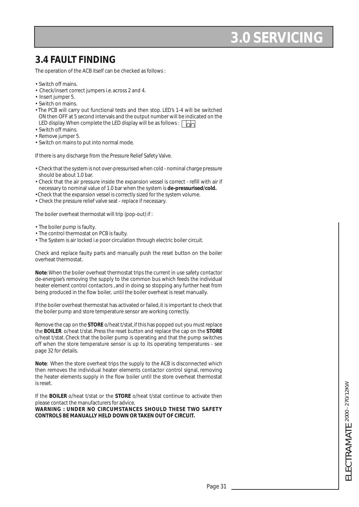## **3.4 FAULT FINDING**

The operation of the ACB itself can be checked as follows :

- Switch off mains.
- Check/insert correct jumpers i.e. across 2 and 4.
- Insert jumper 5.
- Switch on mains.
- The PCB will carry out functional tests and then stop. LED's 1-4 will be switched ON then OFF at 5 second intervals and the output number will be indicated on the LED display. When complete the LED display will be as follows :  $\Box$
- Switch off mains.
- Remove jumper 5.
- Switch on mains to put into normal mode.

If there is any discharge from the Pressure Relief Safety Valve.

- Check that the system is not over-pressurised when cold nominal charge pressure should be about 1.0 bar.
- Check that the air pressure inside the expansion vessel is correct refill with air if necessary to nominal value of 1.0 bar when the system is **de-pressurised/cold.**
- Check that the expansion vessel is correctly sized for the system volume.
- Check the pressure relief valve seat replace if necessary.

The boiler overheat thermostat will trip (pop-out) if :

- The boiler pump is faulty.
- The control thermostat on PCB is faulty.
- The System is air locked i.e poor circulation through electric boiler circuit.

Check and replace faulty parts and manually push the reset button on the boiler overheat thermostat.

**Note**: When the boiler overheat thermostat trips the current in use safety contactor de-energise's removing the supply to the common bus which feeds the individual heater element control contactors , and in doing so stopping any further heat from being produced in the flow boiler, until the boiler overheat is reset manually.

If the boiler overheat thermostat has activated or failed, it is important to check that the boiler pump and store temperature sensor are working correctly.

Remove the cap on the **STORE** o/heat t/stat, if this has popped out you must replace the **BOILER** o/heat t/stat. Press the reset button and replace the cap on the **STORE** o/heat t/stat. Check that the boiler pump is operating and that the pump switches off when the store temperature sensor is up to its operating temperatures - see page 32 for details.

**Note**: When the store overheat trips the supply to the ACB is disconnected which then removes the individual heater elements contactor control signal, removing the heater elements supply in the flow boiler until the store overheat thermostat is reset.

If the **BOILER** o/heat t/stat or the **STORE** o/heat t/stat continue to activate then please contact the manufacturers for advice.

**WARNING : UNDER NO CIRCUMSTANCES SHOULD THESE TWO SAFETY CONTROLS BE MANUALLY HELD DOWN OR TAKEN OUT OF CIRCUIT.**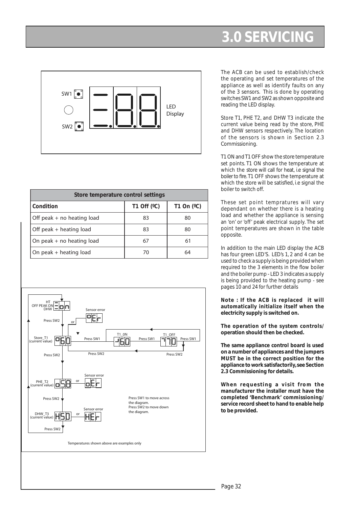

| Store temperature control settings |               |              |  |  |
|------------------------------------|---------------|--------------|--|--|
| Condition                          | T1 Off $(°C)$ | T1 On $(°C)$ |  |  |
| Off peak $+$ no heating load       | 83            | 80           |  |  |
| Off peak $+$ heating load          | 83            | 80           |  |  |
| On peak $+$ no heating load        | 67            | 61           |  |  |
| On peak + heating load             |               | 64           |  |  |



The ACB can be used to establish/check the operating and set temperatures of the appliance as well as identify faults on any of the 3 sensors. This is done by operating switches SW1 and SW2 as shown opposite and reading the LED display.

Store T1, PHE T2, and DHW T3 indicate the current value being read by the store, PHE and DHW sensors respectively. The location of the sensors is shown in Section 2.3 Commissioning.

T1 ON and T1 OFF show the store temperature set points. T1 ON shows the temperature at which the store will call for heat, i.e signal the boiler to fire. T1 OFF shows the temperature at which the store will be satisfied, i.e signal the boiler to switch off.

These set point tempratures will vary dependant on whether there is a heating load and whether the appliance is sensing an 'on' or 'off' peak electrical supply. The set point temperatures are shown in the table opposite.

In addition to the main LED display the ACB has four green LED'S. LED's 1, 2 and 4 can be used to check a supply is being provided when required to the 3 elements in the flow boiler and the boiler pump - LED 3 indicates a supply is being provided to the heating pump - see pages 10 and 24 for further details

**Note : If the ACB is replaced it will automatically initialize itself when the electricity supply is switched on.**

**The operation of the system controls/ operation should then be checked.**

**The same appliance control board is used on a number of appliances and the jumpers MUST be in the correct position for the appliance to work satisfactorily, see Section 2.3 Commissioning for details.**

When requesting a visit from the **manufacturer the installer must have the completed 'Benchmark' commissioning/ service record sheet to hand to enable help to be provided.**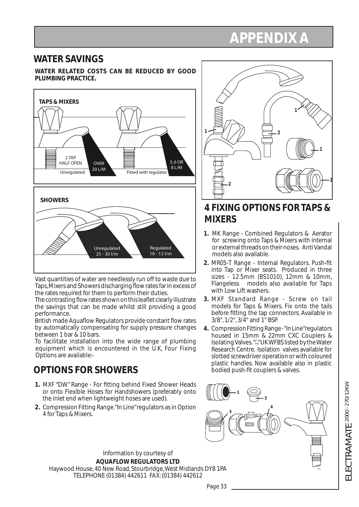# **APPENDIX A**

### **WATER SAVINGS**

**WATER RELATED COSTS CAN BE REDUCED BY GOOD PLUMBING PRACTICE.**



Vast quantities of water are needlessly run off to waste due to Taps, Mixers and Showers discharging flow rates far in excess of the rates required for them to perform their duties.

The contrasting flow rates shown on this leaflet clearly illustrate the savings that can be made whilst still providing a good performance.

British made Aquaflow Regulators provide constant flow rates by automatically compensating for supply pressure changes between 1 bar & 10 bars.

To facilitate installation into the wide range of plumbing equipment which is encountered in the U.K, Four Fixing Options are available:-

## **OPTIONS FOR SHOWERS**

- 1. MXF "DW" Range For fitting behind Fixed Shower Heads or onto Flexible Hoses for Handshowers (preferably onto the inlet end when lightweight hoses are used).
- **2.** Compression Fitting Range. "In Line" regulators as in Option 4 for Taps & Mixers.



### **4 FIXING OPTIONS FOR TAPS & MIXERS**

- **1.** MK Range Combined Regulators & Aerator for screwing onto Taps & Mixers with internal or external threads on their noses. Anti Vandal models also available.
- **2.** MR05-T Range Internal Regulators. Push-fit into Tap or Mixer seats. Produced in three sizes - 12.5mm (BS1010), 12mm & 10mm, Flangeless models also available for Taps with Low Lift washers.
- **3.** MXF Standard Range Screw on tail models for Taps & Mixers. Fix onto the tails before fitting the tap connectors. Available in 3/8", 1/2", 3/4" and 1" BSP.
- **4.** Compression Fitting Range "In Line"regulators housed in 15mm & 22mm CXC Couplers & Isolating Valves. " $\stackrel{\wedge}{\rightarrow}$ " UK WFBS listed by the Water Research Centre. Isolation valves available for slotted screwdriver operation or with coloured plastic handles. Now available also in plastic bodied push-fit couplers & valves.



ELECTRAMATE 2000 - 270/12KW

Information by courtesy of **AQUAFLOW REGULATORS LTD** Haywood House, 40 New Road, Stourbridge, West Midlands DY8 1PA TELEPHONE (01384) 442611 FAX: (01384) 442612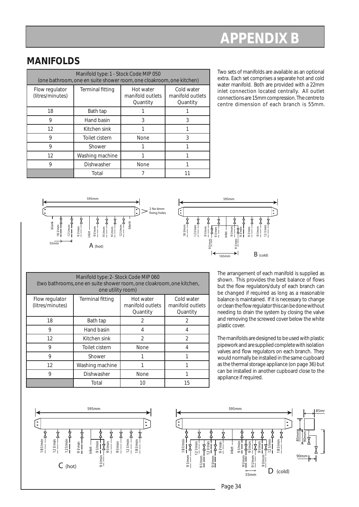### **MANIFOLDS**

| Manifold type: 1 - Stock Code MIP 050<br>(one bathroom, one en suite shower room, one cloakroom, one kitchen) |                  |                                           |                                            |  |  |
|---------------------------------------------------------------------------------------------------------------|------------------|-------------------------------------------|--------------------------------------------|--|--|
| Flow regulator<br>(litres/minutes)                                                                            | Terminal fitting | Hot water<br>manifold outlets<br>Quantity | Cold water<br>manifold outlets<br>Quantity |  |  |
| 18                                                                                                            | Bath tap         |                                           |                                            |  |  |
| 9                                                                                                             | Hand basin       | 3                                         | 3                                          |  |  |
| 12                                                                                                            | Kitchen sink     |                                           |                                            |  |  |
| 9                                                                                                             | Toilet cistern   | <b>None</b>                               | 3                                          |  |  |
| 9                                                                                                             | Shower           |                                           |                                            |  |  |
| 12                                                                                                            | Washing machine  |                                           |                                            |  |  |
| 9                                                                                                             | Dishwasher       | <b>None</b>                               |                                            |  |  |
| Total                                                                                                         |                  |                                           |                                            |  |  |

Two sets of manifolds are available as an optional extra. Each set comprises a separate hot and cold water manifold. Both are provided with a 22mm inlet connection located centrally. All outlet connections are 15mm compression. The centre to centre dimension of each branch is 55mm.





| Manifold type: 2- Stock Code MIP 060<br>(two bathrooms, one en suite shower room, one cloakroom, one kitchen,<br>one utility room) |                  |                                           |                                            |  |  |  |
|------------------------------------------------------------------------------------------------------------------------------------|------------------|-------------------------------------------|--------------------------------------------|--|--|--|
| Flow regulator<br>(litres/minutes)                                                                                                 | Terminal fitting | Hot water<br>manifold outlets<br>Quantity | Cold water<br>manifold outlets<br>Quantity |  |  |  |
| 18                                                                                                                                 | Bath tap         | 2                                         | 2                                          |  |  |  |
| 9                                                                                                                                  | Hand basin       | 4                                         | 4                                          |  |  |  |
| 12                                                                                                                                 | Kitchen sink     | $\overline{2}$                            | 2                                          |  |  |  |
| 9                                                                                                                                  | Toilet cistern   | <b>None</b>                               | 4                                          |  |  |  |
| 9                                                                                                                                  | Shower           |                                           | 1                                          |  |  |  |
| 12                                                                                                                                 | Washing machine  |                                           |                                            |  |  |  |
| 9                                                                                                                                  | Dishwasher       | <b>None</b>                               |                                            |  |  |  |
|                                                                                                                                    | Total            | 10                                        | 15                                         |  |  |  |

The arrangement of each manifold is supplied as shown. This provides the best balance of flows but the flow regulators/duty of each branch can be changed if required as long as a reasonable balance is maintained. If it is necessary to change or clean the flow regulator this can be done without needing to drain the system by closing the valve and removing the screwed cover below the white plastic cover.

The manifolds are designed to be used with plastic pipework and are supplied complete with isolation valves and flow regulators on each branch. They would normally be installed in the same cupboard as the thermal storage appliance (on page 36) but can be installed in another cupboard close to the appliance if required.

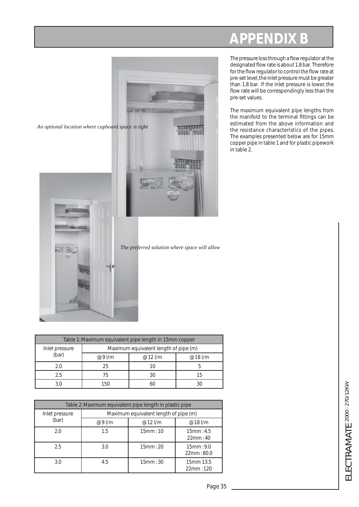*An optional location where cupboard space is tight*



*The preferred solution where space will allow*

| Table 1: Maximum equivalent pipe length in 15mm copper |                                       |          |          |  |  |
|--------------------------------------------------------|---------------------------------------|----------|----------|--|--|
| Inlet pressure                                         | Maximum equivalent length of pipe (m) |          |          |  |  |
| (bar)                                                  | $@9$ $/m$                             | @ 12 l/m | @ 18 l/m |  |  |
| 2.0                                                    | 25                                    |          |          |  |  |
| 2.5                                                    | 75                                    | 30       | 15       |  |  |
| 3.0                                                    | 150                                   |          | 30       |  |  |

|  | Table 2: Maximum equivalent pipe length in plastic pipe |                                       |          |                                    |  |
|--|---------------------------------------------------------|---------------------------------------|----------|------------------------------------|--|
|  | Inlet pressure<br>(bar)                                 | Maximum equivalent length of pipe (m) |          |                                    |  |
|  |                                                         | $@9$ $/m$                             | @ 12 l/m | @ 18 l/m                           |  |
|  | 2.0                                                     | 1.5                                   | 15mm:10  | 15mm:4.5<br>22mm:40                |  |
|  | 2.5                                                     | 3.0                                   | 15mm:20  | 15mm:9.0<br>22mm:80.0              |  |
|  | 3.0                                                     | 4.5                                   | 15mm:30  | 15 <sub>mm</sub> 13.5<br>22mm: 120 |  |

# **APPENDIX B**

The pressure loss through a flow regulator at the designated flow rate is about 1.8 bar. Therefore for the flow regulator to control the flow rate at pre-set level, the inlet pressure must be greater than 1.8 bar. If the inlet pressure is lower, the flow rate will be correspondingly less than the pre-set values.

The maximum equivalent pipe lengths from the manifold to the terminal fittings can be estimated from the above information and the resistance characteristics of the pipes. The examples presented below are for 15mm copper pipe in table 1 and for plastic pipework in table 2.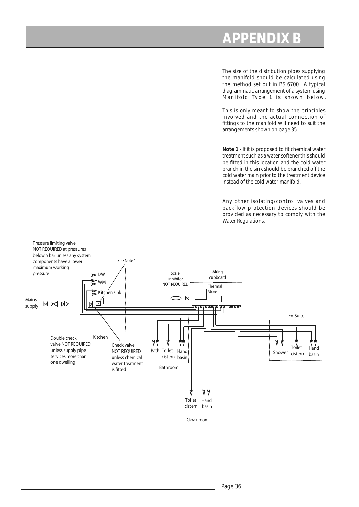The size of the distribution pipes supplying the manifold should be calculated using the method set out in BS 6700. A typical diagrammatic arrangement of a system using Manifold Type 1 is shown below.

This is only meant to show the principles involved and the actual connection of fittings to the manifold will need to suit the arrangements shown on page 35.

**Note 1** - If it is proposed to fit chemical water treatment such as a water softener this should be fitted in this location and the cold water branch in the sink should be branched off the cold water main prior to the treatment device instead of the cold water manifold.

Any other isolating/control valves and backflow protection devices should be provided as necessary to comply with the Water Regulations.

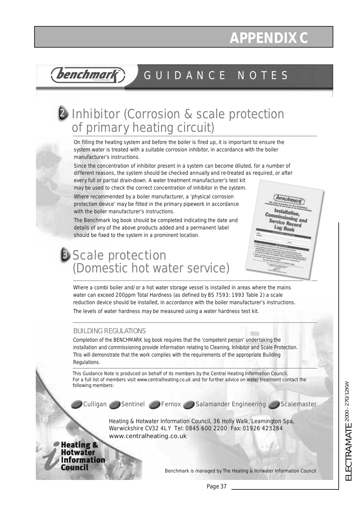# **APPENDIX C**

benchmark

Installation, ommissioning<br>Service Pools and Service Record Log Book

### **benchmark** GUIDANCE NOTES

# 2 Inhibitor (Corrosion & scale protection of primary heating circuit)

On filling the heating system and before the boiler is fired up, it is important to ensure the system water is treated with a suitable corrosion inhibitor, in accordance with the boiler manufacturer's instructions.

Since the concentration of inhibitor present in a system can become diluted, for a number of different reasons, the system should be checked annually and re-treated as required, or after

every full or partial drain-down. A water treatment manufacturer's test kit may be used to check the correct concentration of inhibitor in the system. Where recommended by a boiler manufacturer, a 'physical corrosion

protection device' may be fitted in the primary pipework in accordance with the boiler manufacturer's instructions.

The Benchmark log book should be completed indicating the date and details of any of the above products added and a permanent label should be fixed to the system in a prominent location.

# **3** Scale protection (Domestic hot water service)

Where a combi boiler and/or a hot water storage vessel is installed in areas where the mains water can exceed 200ppm Total Hardness (as defined by BS 7593: 1993 Table 2) a scale reduction device should be installed, in accordance with the boiler manufacturer's instructions. The levels of water hardness may be measured using a water hardness test kit.

### BUILDING REGULATIONS

Completion of the BENCHMARK log book requires that the 'competent person' undertaking the installation and commissioning provide information relating to Cleaning, Inhibitor and Scale Protection. This will demonstrate that the work complies with the requirements of the appropriate Building Regulations.

This Guidance Note is produced on behalf of its members by the Central Heating Information Council. For a full list of members visit www.centralheating.co.uk and for further advice on water treatment contact the following members:

Culligan Sentinel Fernox Salamander Engineering Scalemaster

Heating & Hotwater Information Council, 36 Holly Walk, Leamington Spa, Warwickshire CV32 4L Y Tel: 0845 600 2200 Fax: 01926 423284 www.centralheating.co.uk



Benchmark is managed by The Heating & Hotwater Information Council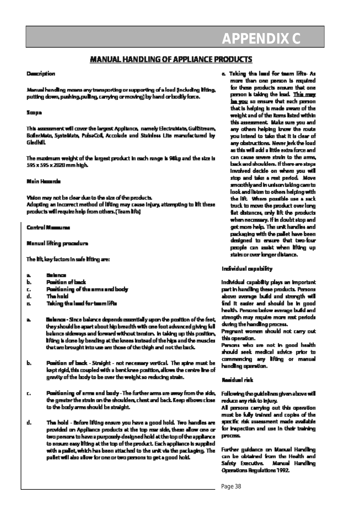# **APPENDIX C**

### **MANUAL HANDLING OF APPLIANCE PRODUCTS**

### **Description**

Manual handling means any transporting or supporting of a load (including lifting, putting down, pushing, pulling, carrying or moving) by hand or bodily force.

### Scope

This assessment will cover the largest Appliance, namely ElectraMate, GuilStream, BallerMate, SysteMate, PulseColl, Accolade and Stainless Lite manufactured by **Gladhill** 

The maximum weight of the largest product in each range is 98kg and the size is 595 x 595 x 2020 mm high.

### Main Hessels

Vision may not be clear due to the size of the products. Adopting an incorrect method of lifting may cause injury attempting to lift these products will require help from others. (Team lifts)

### Control Managers

### Manual lifting procedure

The lift, lay factors in safe lifting are:

- **Release** a.
- Ь. **Position of back**
- Paritioning of the emeand body r.
- d. The hold
- Taking the land for team lifts R.
- Belence Since balance depends examitally upon the position of the feet, a. they should be spart about hip breadth with one fout advanced giving full belance sideways and forward without tension. In taking up this position, lifting is done by bending at the knees instead of the higs and the muscles that are brought into use are those of the thigh and not the back.
- Ь. Position of back - Straight - not necessary vertical. The spine must be lout rigid, this coupled with a bent knee position, allows the centre line of gravity of the body to be over the weight so reducing strain.
- Positioning of smm and body The further arms are away from the side, c. the greater the strain on the shoulders, chest and back. Keep elbows close to the bady arms should be straight.
- d. The hold - Before lifting ensure you have a good hold. Two handles are provided on Appliance products at the top rear side, these allow one or toro persons to have a purposely-designed hold at the top of the appliance to ensure easy lifting at the top of the product. Each appliance is supplied with a pallet, which has been attached to the unit via the packaging. The pallet will also allow for one or two persons to get a good hold.

e. Teking the land for team lifts- As more than one person is required. for these products ensure that one person is taking the lead. This may be you to ensure that each person that is helping is made aware of the weight and of the Items listed within this assessment. Make sure you and any others helping know the route you intend to take that it is clear of any obstructions. Never lerk the load as this will add a little extra force and can cause severe strain to the arms. back and shoulders. If there are steps Involved decide on where you will stop and take a rest period. Move smachly and in unitan taking care to look and laten to others helping with the lift. Where possible use a sack truck to move the product over lang flat distances, only lift the products when necessary. If in doubt stop and ast more help. The unit handles and packaging with the pallet have been designed to ensure that two-four people can assist when lifting up stairs or over langer distance.

### Individual capability

Individual capability plays an important cart in handling these products. Persons above average build and strength will find it easier and should be in good health. Persons below average build and strength may require more rest periods during the handling process.

Pregnant women should not carry out this aperation.

Persons who are not in good health should seek medical advice prior to commencing any lifting or manual handing operation.

### Besidual rick

Following the quidelines given above will reduce any risk to injury.

All persons carrying out this operation must be fully trained and copies of the specific risk assessment made available for inspection and use in their training. 412518774

Further guidance on Manual Handling can be obtained from the Health and Safety Executive. **Manuel Handling Operations Regulations 1992.**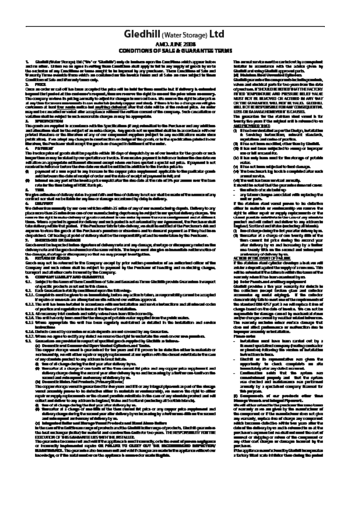### Gledhill (Water Storage) Ltd AMD, JUNE 2004 **CONDITIONS OF SALE & GUARANTEE TERMS**

1. Ghaibh filiciar Storaga) thì ("Ne" or "Ghaibhi") uniy de business sport the Contifiunt which appear index<br>and resulting. Urber we so agus in welling them Conditions sixil apply in thi to any supply of groots by orto<br>Wan Conditions of Sale and Warranty towns only.

#### **Burnet** ı

2. Press.<br>Come as order or call off has town accepted the pairs will be both for those numble lest. If shalvery is entermined<br>begannificially problem to contempt to request, then we recover the dight to meant the prior whe r wil be cancelled arrangement and anything definition of the spin form of the companies of the companies of the spin form of the spin form of the companies of the spin form of the spin form of the spin form of the spin fo

a.<br>The gravit as supplied in accordance with the Spacifications of anyi submitted to the Porchaser and any addition<br>and allocations shall be the subject of an unite charge. Any gravity set su specified shall be in accordan

#### **PANELLE** ī

4. Philippine of goods shall be payable within 30 clay of simpatch by as of our location for this goods or such<br>The incurrence in states by our quotation or involve. Even make payment in Adiovor Instantine due above<br>any ti

- 
- 

#### $\sim$

e.<br>The photon final and delivery datastropped fails and these delivery location shall be made of the names of any<br>contract nor shall restrict this for any low or stamps occurrent by chicy in sinkery. **College** 

e. Interference and the first constitution within 25 miles of any of an examinizing deputs. Delivery to any place and the material of the material of the constitution of the product of the product of the material product o ۰.

#### sanaga até х.

a – aranassa osalainat<br>Giodarel briegicist infinatipates of differentia and any decay, sheltype or discopery relation for<br>diferentia and the production of the same which. The logar and also give science this reflex reflex

a.<br>Cooking of is stored in the Coupany creap by pite retire possistes of an anteriori offer of the<br>Coupany and such rates skell to subject to payment by the Pontour of fracting and resincting charges,<br>temperi and all other

- n Chinese Manuel Carlo Manuel II.<br>41. Salded to Holmes of them Condition of Science General as Terms Globalic produktion admits in corport **4.1.** Subject to the leases of these Condition of Sale and Executive Terms Globality provide Georgians is expected to the condition of Sale Considered by conditions applied to the supervision of the complete the conditio
- 
- 
- 
- 
- 
- **Services** Of
- 4.2.4. Defects canned by corns
- 4.2.4. Delais can ad by commins or scale depends are and covered by any Generator.<br>4.2.7. When we agree to neithy any stated we reserve the right to undertain the work on our uses pumiles.
- **63 Generalism**
- Genericus au proditei la capacitat production production de la capacitat de la facta de la capacitat de la capa<br>40 Desemble avril Comme del Ciper Vanimi Cylindre com l'Imin.<br>The capacitate production de generalisat for ten **Mark** 
	- of mychan
	- 11
	- is copper sterage would be gearanteed for two years and if it proves to be stated without to establish or<br>risearchip, recent at the experiment of two supplying formula at our splitts with the closest substitute in the<br>any
	- (b) Domestic II

sometic this strike products (where you want your section)<br>(b) Describe this first realistic (relaxyster)<br>The experiment is procedured to describe the years and if it or any integral physons are six of the simple<br>versi acc

The annual survice member can include by a computer in the action of the catalog given the<br>Goddiff and using Goddiff approved parks<br>july Malakana liked Verentied Eylinders<br>july Malakana liked Verentied Eylinders

iliyarak da anası .<br>Kabupatèn a. a and abstitud parts for two years from the style **Yakı** oputan. PSCUDE NDESTATTE MCKK MUST REFLEE BEACHED OR ACTERED IN ARY WAY ORTHE GUNDNITEE WILL NOT HE WALD, GLEGHILL<br>MILL NOT HE HEY WISHERD ANY CONSTILERING. **UPS DE BANAGE HEMERVEILE IS CAUSED.** 

The generates for the statution six d va tempto your Plan might will be immed to us <u>Mortovée tre</u>

- () Einsbemiertalei apertis Daty, instalates<br>
k Seeking Instanting minorit stantists, mphilims and color of particular<br>(i) Since actions modified, other from by Elminik.
- 
- (i) it has not have subjected to versig or happying<br>more full area subjected to versig or happying
- (b) it has only have sout for the starage of potable
- (v) Bins actions subjected to find change.<br>(v) The beachwarking in cities completed after each (e) an university were assessed:<br>20 The web last boom serviced an usely.<br>2 should be noted that the gaze and a show rul career
- 
- 
- the stark of a skind i. ary islam charge am chiai will mpining the<br>mit or pats.

anno pero<br>a faisica stad venti peros lo la detaba<br>alter la materia er ventecentip ve rauno the ence or more use of exempty exploration of the<br>dyle in ellier upon as supply exploration is or the<br>classic parties and their and deliver to any actions in<br>largest Savitard and Wake (exclusive) all blank);

- expact scource and many excessing as somey.<br>(i) The of charge design to bet you after deliver by m.<br>(ii) The scalar at a charge of one trendy diffused the means at study to the energy and a set<br>film count bill price doing the second year<br>after delivery by us and increasing by a finiter
- **The bearing States for the second as<br>anthropy of delivery layer.**<br><u>ACROB STER EMSTOF FALME</u> т فسيسا

i'ila stabba stani qabular door الأعبر ويعرز بالجواري وبيع r no scanar som que ar cromp a new en en<br>zitter a deput agrici the supply of a new mo. This<br>ell to minuted if the diffusionality distance of the rdi in miuntai litte šilovā vilkin tiete<br>rautaiķ rāzu litte izmasaniesi byzs

versaly when it has been continue up on<br>his below Panels and arrilling explorated the birds in<br>Galiali products a first year was reply for detection<br>assuming age and a subject in this collector<br>described by Caliab method o charge from I on the claim of invoice. We can not be my main for starting cannot by markedod start<br>anyw changes creatily restitor estate informati me component problem and control component<br>the complete problem and surface design that<br>improper accordy orientation. تك كرة<br>مارك

- 
- Initialize and love has cartal out by a mente a postilisti company (maling contact<br>in planting following the vectors of installation<br>or planting following the vectors of installatio .<br>Pethanistan. ш
- 
- mentants in the representation can given the<br>systemity in closels complete on the<br>transition of the contribution of<br>boundaries and the first the system can<br>consistent property and that the system<br>can during property and th among by a specialist company finance for<br>this propose.

th pupper.<br>By Company of our probest offer that<br>Nonp Venek and integral Spacest.<br>Novil alternative the pushers the samples of<br>or resculy to vertex by the manifolder of<br>or resculy to vertex by the manifolder of the comparent or if the man .<br>Autour dom act give we comparent or if the manufacturer shot styles<br>any versusly, suplex due of charge any comparent<br>relate termines children with two years after the<br>chines is a diffusion by the solid and must the cut<br>probably supported resi  $\frac{1}{2}$ 

process<br>Phe applicate exercisionally Statistic emperator<br>a factory filmi scale initiater than chang the point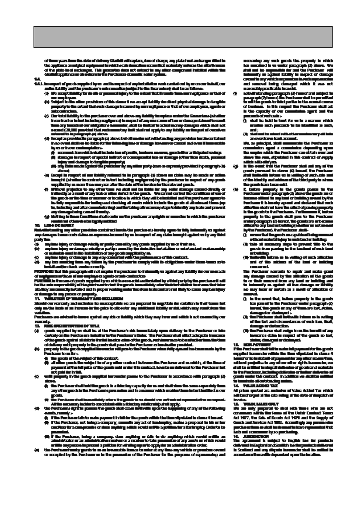of them years from the sixtual delivery Skalidi will replace, down charge, any plate hand contemporation in th<br>the applicate as onlying explorered in which scale describes according and coloristly enhance the effectivenes<br>

4.4.1. In surport of goods supplied by us and in oughci of any installation reak cantal out by monetor indust, our<br>- andier tability and the punta on is solo smaller judged to the Economical shall be as follows.<br>- (4 We

- **Experience**
- r museum.<br>Alpet to the allow produkses of this class of we accept liability for client playshal damage to targible<br>sparty to the criteri that such classige is caused by surroughgence or that of our coupleyear, ager is or п --in ter
- **Solution Annual Section of the perchase over and alove any Eddiffy in replace ender the Generical (visible)**<br>For total Eddiffy to the perchase over and alove any maximum from ordinary claimed to remit<br>from any hearts of o nito in pasyraph jaj akovo<br>I asprovišničiu paragraph ja
- responsibility paragraph (a), alcovated offenedus not relike tanding any provision insula contained<br>providently paragraph (a), alcovated g inne or standige increme various and over if form entities (d) Escapitatoro **In source** been or hour continue
	-
	- se se o com communication.<br>Accounts for which shall include four of profits, includes answers, goodeliter articly, and and ga<br>Accords in respect of special indicat or consequential into an always (of unificer shall), perso and the contract of the first contract of the contract of the contract of the contract of the contract of the<br>The contract of the contract of the contract of any other party (case as expressly provided in paragraph (ii)
	- abocat
- (e) Except in suspect of our Holdity submed to in peragraph (d) above on claim may be made or action.<br>Insurpti (of miles in centrast or in test including suggepares) by the puntaser in maped of any granit-<br>supplied by as m
- suppose you may be a series and your second on the measurement of such a grand directly or<br>(i) Where I pushes to any offer team we shall not be that in any water shares proceed directly or<br>inducible as a senii of any leak
- (g) that day is these Constitues shall continue the puntator any sights or ence close to which the puntators if red other that he logisly within t

#### **LISA DE MUELT** 10.

res."<br>20) oliver possibles contained inside the postharer's locally agent to thily indexently us against<br>control claims or experime incomed by us in corport of any claim innergit against us by any field ۰. in av d any designs for

- ay to p
- ĩж d.
- 
- 45
- way the bijery or change whether partly caused by any guards supplied by more than me.<br>The big in the same of the bright of partly causating the detective installation or substantial working<br>or maintain such in the bright are by the punt sourch comply with its obligations waker than tower ze to 48

FICURDED that this paragraph will not mights the particular to interestly us against any latelly denote men acts<br>of numbers on those of our auction as a surface subscriptions.

recented that this prograph will not unpins the punkame to industriy us against any initially denote uses acts<br>A supplyment without of the employment agents or sub-contact tos.<br>Pulling the the case of goods supplied by us or dange in any process property.<br>11. The latter of the main of the security of

n a communista en executivo e este escriptorio.<br>Siculal converteiro automatica las marcaptable na seu paparat for espíticis de vanializa la trata tamen init<br>colo un tier laste of an increas in the price to allow for any ad Y.

Punticans are adduct to hours against any dator Bability which they may been and which is not covered by our naraty.<br>11. Kaisari hittinga oftall

- now we consider that is, at the Postcosts did investigating signs delicay in the Postcost of his contribution of the Sunday of the Context of the Context of the Context of the Context of the Context of the Context of the C Q.
- 4b)
	- $^{\bullet}$  1
	- t the goals of the subject of this contract.<br>4 all other gamb: the subject to of any other contract between the Porchaser and on which, at the theorie<br>- payment of the Adipate of the grants subject to contract, have been र्जन Mêr bû É.
- $\langle t \rangle$  and propely in the grock supplied incounter passe to the Pontesce is accordance with perspects (2) struct.
	- **A** the Proclassor shall initially goods is a didnessy capacity for us and shall simulties some supervisity form<br>any often goods in the Port nam's presention and in a manner witch makins them in to kind their a com pols.
- (8) The Parchaeo shall immediately often 9 in gamb to us should our art intent representative on respect.<br>Altho excess photonics associated with a disclary relationship shall apply.<br>(4) the Parchaeo's sight in yourse the
	- ts. ma ār,
	- encours, names :-<br>(i) Pills Percharacteristic continuous payment in this incline grands within the time dipolated in class 4 incom<br>(ii) Pills Perchass, not indeg a company, commits any act of insulanging, mains a proposal sa popositeté ert .<br>Inn for a Bardenpley Cetterto ba
	- provides a company, does any integral to be anywhere the control of the second with a second company of the se<br>The Possible of the administration content or a supplemental this provides of top anysis or which would<br>in this a rasn
- (a) the function or accepted by the Portugar or in the passed on of the Portugar for the paryons of representing and

noveming any such grads the property in which<br>has numbed in us under prograph (2) since, We<br>shall not be supportion for and the Punkaur will<br>intensify as against initially in maps of change<br>counting synthic supportion hav and removal being classical which it was not

an constitution in the model of the second state of the second state of the second state of the second state of the second state of the second state of the second state of the second constant in and the game to finite part of bestead. In this request the Ponticum shall act. is the capacity of our commission agent and the ranti d'articoli »

 $\overline{\phantom{a}}$ 

- personals of such samples<br>() what has both in trust for us in a manner which<br>we called us to unreaseds to be identified as such,
- ing althothers وأوا أشده سدير anovarizon lank armut.

an overthous leads accumulate the Postcours as<br>the assigning size of communications depending upon<br>committee agent a communicate depending upon<br>the suspice relation the Postcours can obtain ever and<br>almost the sum stipulat

- 键 ii ilk eest te va research as an arge te<br>grait personi to deen (i) incat, the Perioan<br>shift talkelik intense in vallag of such side and<br>of its timity and altinumities the judy in rinns the goals have been suit.
- it, butso property in the grants passe to the<br>Fortnamente prograph@atorothegraphaneor<br>Income allied in any land or building means by the æ. mental and the state of the state of the state of the state of the state of the state of the state of the state of the state of the state of the state of the state of the state of the state of the state of the state of the is the goods to the Pentiums. For Hommes it, button<br>properly in this genuit skill pass to the Pentiums<br>entire) to any last controlling (whether or not mean)<br>by the Pentiums, the Pentiums skill-<br>by the Pentiums, the Pentium

of an antibility professor contributing<br>of an antibility of the find or hold<br>of the find order to by by the such land or hold .<br>Mag

- (i) this all exempts steps to provent this to the<br>gende from parting to the backed of such land
- mbalting<br>folloidh latra as is vallaged sub allating<br>and of the adding of the basi or initially  $\mathbf{B}$ an at

The Perchase search's to significant scale grant<br>any damage caused by the alliadors of the grade<br>to or their smooth from any basis or initially and<br>to interestly as against all the change or thirdly<br>so may have or suitable

- In the most field, industry payinty is the greate<br>for possible the Pantizzar under pangraph (2)<br>forms, the greate or any of them are lost, states, manged or delingers is a security control.<br>An example of delingers .<br>(i) the Pershaw shall be<br>fixed in the limit on the refle
- of the fact and chosen larges of such that, that dangs architecture
- (ii) the Penchose shall assign to as the learniff of any<br>howards claim in request of the games so last,<br>shifted, changed or chainspat.

11. NGC 2019<br>Pilo Parlemental Editorale Ad papert for the grate<br>Pilo Parlemental Editorale, the first signified in class 4 res recreates started to exist to passed for the goods<br>supplied to survive within the first signification of these 4<br>heads to be defined of payment for any other masses that<br>without published to sky of our other dyits howe a an ceannan a say a marann crìobh a chàr<br>in tu fuchas, iodaileachadh a failm deir<br>gunb unir thìreacha is addinn ra siall bu a erte al .<br>In teachda alloutdacha mins

#### 14. VALUADED TAX

All prices spotad are exclusive of Value Ackled Tax which will be charged at the cate reling at the sixts of simplich of antara.

#### **TOOL MAD OUT**

the animaly proposed to shall rath those who are not.<br>common within the tame of the Unite Contact Tames int Ta Ad 1977, the Sale of Ecode Ad 1979 and the Supply of an<br>San Bat la band a commun by so purchasing.

#### **JESSER**

16. Announces<br>The approval is subject to English bet der positects<br>delivered inEngland and Scottish betweenighted delivered an and respect theme are power when<br>it Solari and ary dipole issued rated to solici in<br>annihos fusedh depoint que the incides.